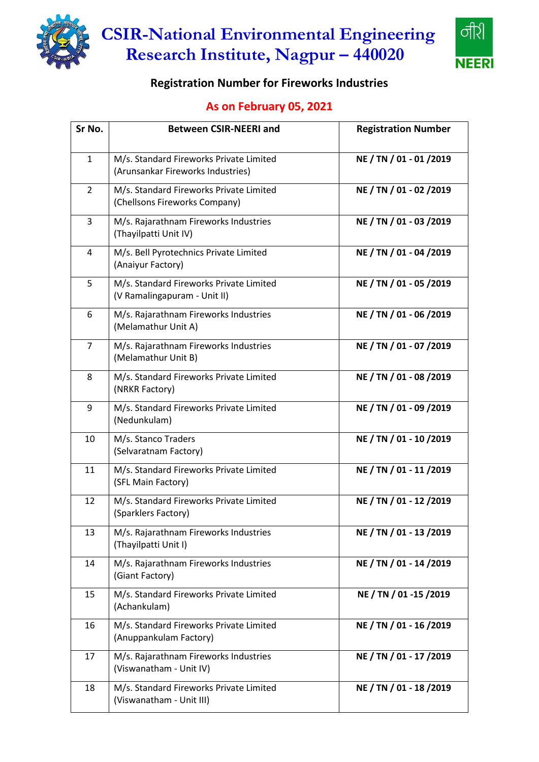

**CSIR-National Environmental Engineering Research Institute, Nagpur – 440020**



## **Registration Number for Fireworks Industries**

## **As on February 05, 2021**

| Sr No.         | <b>Between CSIR-NEERI and</b>                                                | <b>Registration Number</b> |
|----------------|------------------------------------------------------------------------------|----------------------------|
| $\mathbf{1}$   | M/s. Standard Fireworks Private Limited<br>(Arunsankar Fireworks Industries) | NE / TN / 01 - 01 /2019    |
| $\overline{2}$ | M/s. Standard Fireworks Private Limited<br>(Chellsons Fireworks Company)     | NE / TN / 01 - 02 / 2019   |
| $\overline{3}$ | M/s. Rajarathnam Fireworks Industries<br>(Thayilpatti Unit IV)               | NE / TN / 01 - 03 /2019    |
| 4              | M/s. Bell Pyrotechnics Private Limited<br>(Anaiyur Factory)                  | NE / TN / 01 - 04 /2019    |
| 5              | M/s. Standard Fireworks Private Limited<br>(V Ramalingapuram - Unit II)      | NE / TN / 01 - 05 /2019    |
| 6              | M/s. Rajarathnam Fireworks Industries<br>(Melamathur Unit A)                 | NE / TN / 01 - 06 / 2019   |
| $\overline{7}$ | M/s. Rajarathnam Fireworks Industries<br>(Melamathur Unit B)                 | NE / TN / 01 - 07 /2019    |
| 8              | M/s. Standard Fireworks Private Limited<br>(NRKR Factory)                    | NE / TN / 01 - 08 / 2019   |
| 9              | M/s. Standard Fireworks Private Limited<br>(Nedunkulam)                      | NE / TN / 01 - 09 /2019    |
| 10             | M/s. Stanco Traders<br>(Selvaratnam Factory)                                 | NE / TN / 01 - 10 / 2019   |
| 11             | M/s. Standard Fireworks Private Limited<br>(SFL Main Factory)                | NE / TN / 01 - 11 /2019    |
| 12             | M/s. Standard Fireworks Private Limited<br>(Sparklers Factory)               | NE / TN / 01 - 12 / 2019   |
| 13             | M/s. Rajarathnam Fireworks Industries<br>(Thayilpatti Unit I)                | NE / TN / 01 - 13 / 2019   |
| 14             | M/s. Rajarathnam Fireworks Industries<br>(Giant Factory)                     | NE / TN / 01 - 14 /2019    |
| 15             | M/s. Standard Fireworks Private Limited<br>(Achankulam)                      | NE / TN / 01 -15 /2019     |
| 16             | M/s. Standard Fireworks Private Limited<br>(Anuppankulam Factory)            | NE / TN / 01 - 16 / 2019   |
| 17             | M/s. Rajarathnam Fireworks Industries<br>(Viswanatham - Unit IV)             | NE / TN / 01 - 17 / 2019   |
| 18             | M/s. Standard Fireworks Private Limited<br>(Viswanatham - Unit III)          | NE / TN / 01 - 18 / 2019   |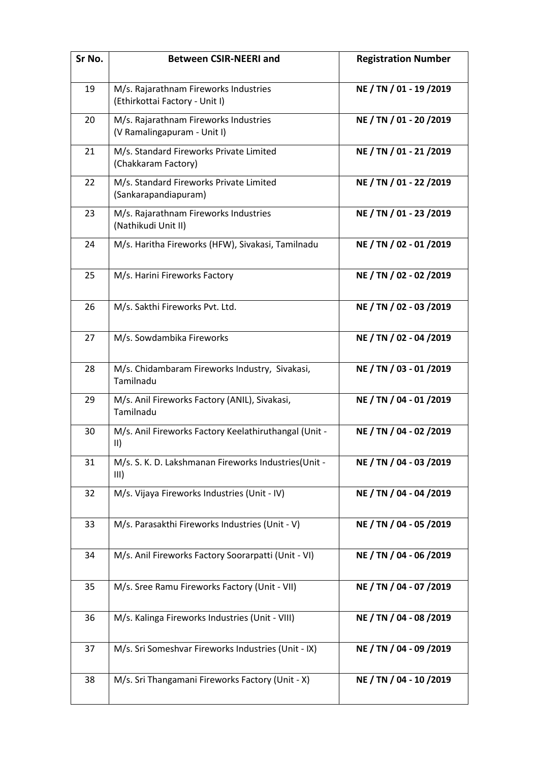| Sr No. | <b>Between CSIR-NEERI and</b>                                                | <b>Registration Number</b> |
|--------|------------------------------------------------------------------------------|----------------------------|
| 19     | M/s. Rajarathnam Fireworks Industries<br>(Ethirkottai Factory - Unit I)      | NE / TN / 01 - 19 / 2019   |
| 20     | M/s. Rajarathnam Fireworks Industries<br>(V Ramalingapuram - Unit I)         | NE / TN / 01 - 20 / 2019   |
| 21     | M/s. Standard Fireworks Private Limited<br>(Chakkaram Factory)               | NE / TN / 01 - 21 / 2019   |
| 22     | M/s. Standard Fireworks Private Limited<br>(Sankarapandiapuram)              | NE / TN / 01 - 22 / 2019   |
| 23     | M/s. Rajarathnam Fireworks Industries<br>(Nathikudi Unit II)                 | NE / TN / 01 - 23 / 2019   |
| 24     | M/s. Haritha Fireworks (HFW), Sivakasi, Tamilnadu                            | NE / TN / 02 - 01 / 2019   |
| 25     | M/s. Harini Fireworks Factory                                                | NE / TN / 02 - 02 / 2019   |
| 26     | M/s. Sakthi Fireworks Pvt. Ltd.                                              | NE / TN / 02 - 03 / 2019   |
| 27     | M/s. Sowdambika Fireworks                                                    | NE / TN / 02 - 04 /2019    |
| 28     | M/s. Chidambaram Fireworks Industry, Sivakasi,<br>Tamilnadu                  | NE / TN / 03 - 01 /2019    |
| 29     | M/s. Anil Fireworks Factory (ANIL), Sivakasi,<br>Tamilnadu                   | NE / TN / 04 - 01 /2019    |
| 30     | M/s. Anil Fireworks Factory Keelathiruthangal (Unit -<br>$\vert \vert \vert$ | NE / TN / 04 - 02 / 2019   |
| 31     | M/s. S. K. D. Lakshmanan Fireworks Industries(Unit -<br>III)                 | NE / TN / 04 - 03 /2019    |
| 32     | M/s. Vijaya Fireworks Industries (Unit - IV)                                 | NE / TN / 04 - 04 /2019    |
| 33     | M/s. Parasakthi Fireworks Industries (Unit - V)                              | NE / TN / 04 - 05 /2019    |
| 34     | M/s. Anil Fireworks Factory Soorarpatti (Unit - VI)                          | NE / TN / 04 - 06 / 2019   |
| 35     | M/s. Sree Ramu Fireworks Factory (Unit - VII)                                | NE / TN / 04 - 07 / 2019   |
| 36     | M/s. Kalinga Fireworks Industries (Unit - VIII)                              | NE / TN / 04 - 08 /2019    |
| 37     | M/s. Sri Someshvar Fireworks Industries (Unit - IX)                          | NE / TN / 04 - 09 /2019    |
| 38     | M/s. Sri Thangamani Fireworks Factory (Unit - X)                             | NE / TN / 04 - 10 / 2019   |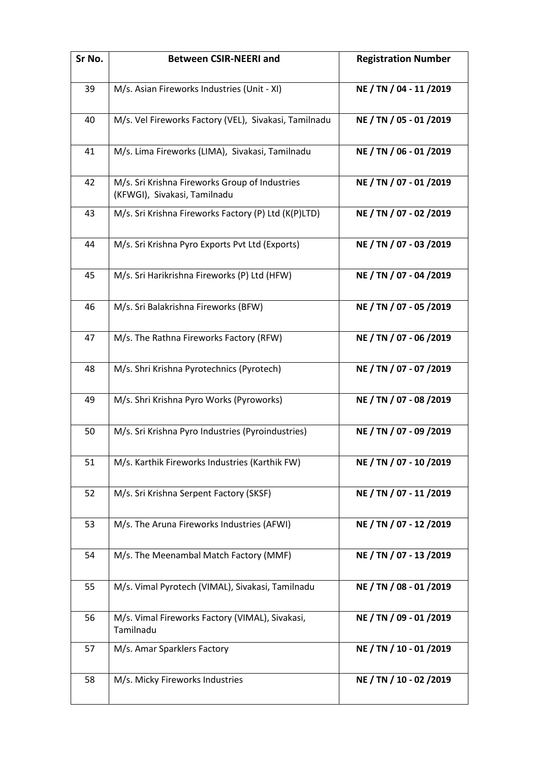| Sr No. | <b>Between CSIR-NEERI and</b>                                                  | <b>Registration Number</b> |
|--------|--------------------------------------------------------------------------------|----------------------------|
| 39     | M/s. Asian Fireworks Industries (Unit - XI)                                    | NE / TN / 04 - 11 /2019    |
| 40     | M/s. Vel Fireworks Factory (VEL), Sivakasi, Tamilnadu                          | NE / TN / 05 - 01 /2019    |
| 41     | M/s. Lima Fireworks (LIMA), Sivakasi, Tamilnadu                                | NE / TN / 06 - 01 /2019    |
| 42     | M/s. Sri Krishna Fireworks Group of Industries<br>(KFWGI), Sivakasi, Tamilnadu | NE / TN / 07 - 01 /2019    |
| 43     | M/s. Sri Krishna Fireworks Factory (P) Ltd (K(P)LTD)                           | NE / TN / 07 - 02 / 2019   |
| 44     | M/s. Sri Krishna Pyro Exports Pvt Ltd (Exports)                                | NE / TN / 07 - 03 /2019    |
| 45     | M/s. Sri Harikrishna Fireworks (P) Ltd (HFW)                                   | NE / TN / 07 - 04 /2019    |
| 46     | M/s. Sri Balakrishna Fireworks (BFW)                                           | NE / TN / 07 - 05 /2019    |
| 47     | M/s. The Rathna Fireworks Factory (RFW)                                        | NE / TN / 07 - 06 / 2019   |
| 48     | M/s. Shri Krishna Pyrotechnics (Pyrotech)                                      | NE / TN / 07 - 07 / 2019   |
| 49     | M/s. Shri Krishna Pyro Works (Pyroworks)                                       | NE / TN / 07 - 08 / 2019   |
| 50     | M/s. Sri Krishna Pyro Industries (Pyroindustries)                              | NE / TN / 07 - 09 /2019    |
| 51     | M/s. Karthik Fireworks Industries (Karthik FW)                                 | NE / TN / 07 - 10 / 2019   |
| 52     | M/s. Sri Krishna Serpent Factory (SKSF)                                        | NE / TN / 07 - 11 /2019    |
| 53     | M/s. The Aruna Fireworks Industries (AFWI)                                     | NE / TN / 07 - 12 / 2019   |
| 54     | M/s. The Meenambal Match Factory (MMF)                                         | NE / TN / 07 - 13 / 2019   |
| 55     | M/s. Vimal Pyrotech (VIMAL), Sivakasi, Tamilnadu                               | NE / TN / 08 - 01 / 2019   |
| 56     | M/s. Vimal Fireworks Factory (VIMAL), Sivakasi,<br>Tamilnadu                   | NE / TN / 09 - 01 /2019    |
| 57     | M/s. Amar Sparklers Factory                                                    | NE / TN / 10 - 01 /2019    |
| 58     | M/s. Micky Fireworks Industries                                                | NE / TN / 10 - 02 / 2019   |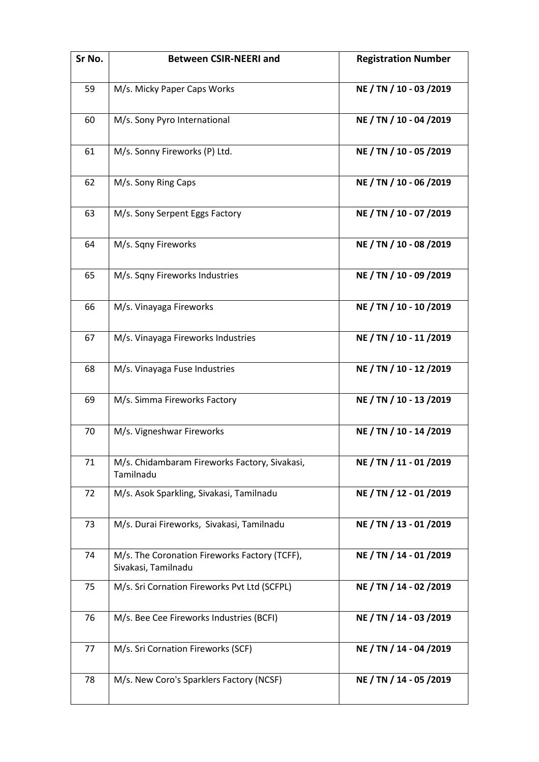| Sr No. | <b>Between CSIR-NEERI and</b>                                        | <b>Registration Number</b> |
|--------|----------------------------------------------------------------------|----------------------------|
| 59     | M/s. Micky Paper Caps Works                                          | NE / TN / 10 - 03 / 2019   |
| 60     | M/s. Sony Pyro International                                         | NE / TN / 10 - 04 /2019    |
| 61     | M/s. Sonny Fireworks (P) Ltd.                                        | NE / TN / 10 - 05 /2019    |
| 62     | M/s. Sony Ring Caps                                                  | NE / TN / 10 - 06 / 2019   |
| 63     | M/s. Sony Serpent Eggs Factory                                       | NE / TN / 10 - 07 / 2019   |
| 64     | M/s. Sqny Fireworks                                                  | NE / TN / 10 - 08 / 2019   |
| 65     | M/s. Sqny Fireworks Industries                                       | NE / TN / 10 - 09 / 2019   |
| 66     | M/s. Vinayaga Fireworks                                              | NE / TN / 10 - 10 / 2019   |
| 67     | M/s. Vinayaga Fireworks Industries                                   | NE / TN / 10 - 11 / 2019   |
| 68     | M/s. Vinayaga Fuse Industries                                        | NE / TN / 10 - 12 / 2019   |
| 69     | M/s. Simma Fireworks Factory                                         | NE / TN / 10 - 13 / 2019   |
| 70     | M/s. Vigneshwar Fireworks                                            | NE / TN / 10 - 14 / 2019   |
| 71     | M/s. Chidambaram Fireworks Factory, Sivakasi,<br>Tamilnadu           | NE / TN / 11 - 01 / 2019   |
| 72     | M/s. Asok Sparkling, Sivakasi, Tamilnadu                             | NE / TN / 12 - 01 / 2019   |
| 73     | M/s. Durai Fireworks, Sivakasi, Tamilnadu                            | NE / TN / 13 - 01 / 2019   |
| 74     | M/s. The Coronation Fireworks Factory (TCFF),<br>Sivakasi, Tamilnadu | NE / TN / 14 - 01 / 2019   |
| 75     | M/s. Sri Cornation Fireworks Pvt Ltd (SCFPL)                         | NE / TN / 14 - 02 / 2019   |
| 76     | M/s. Bee Cee Fireworks Industries (BCFI)                             | NE / TN / 14 - 03 / 2019   |
| 77     | M/s. Sri Cornation Fireworks (SCF)                                   | NE / TN / 14 - 04 / 2019   |
| 78     | M/s. New Coro's Sparklers Factory (NCSF)                             | NE / TN / 14 - 05 /2019    |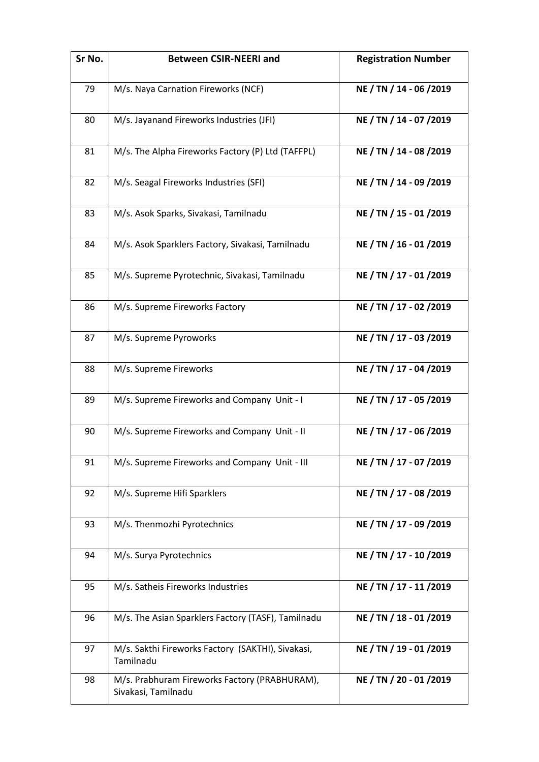| Sr No. | <b>Between CSIR-NEERI and</b>                                        | <b>Registration Number</b> |
|--------|----------------------------------------------------------------------|----------------------------|
| 79     | M/s. Naya Carnation Fireworks (NCF)                                  | NE / TN / 14 - 06 / 2019   |
| 80     | M/s. Jayanand Fireworks Industries (JFI)                             | NE / TN / 14 - 07 / 2019   |
| 81     | M/s. The Alpha Fireworks Factory (P) Ltd (TAFFPL)                    | NE / TN / 14 - 08 / 2019   |
| 82     | M/s. Seagal Fireworks Industries (SFI)                               | NE / TN / 14 - 09 / 2019   |
| 83     | M/s. Asok Sparks, Sivakasi, Tamilnadu                                | NE / TN / 15 - 01 / 2019   |
| 84     | M/s. Asok Sparklers Factory, Sivakasi, Tamilnadu                     | NE / TN / 16 - 01 / 2019   |
| 85     | M/s. Supreme Pyrotechnic, Sivakasi, Tamilnadu                        | NE / TN / 17 - 01 /2019    |
| 86     | M/s. Supreme Fireworks Factory                                       | NE / TN / 17 - 02 / 2019   |
| 87     | M/s. Supreme Pyroworks                                               | NE / TN / 17 - 03 / 2019   |
| 88     | M/s. Supreme Fireworks                                               | NE / TN / 17 - 04 /2019    |
| 89     | M/s. Supreme Fireworks and Company Unit - I                          | NE / TN / 17 - 05 /2019    |
| 90     | M/s. Supreme Fireworks and Company Unit - II                         | NE / TN / 17 - 06 / 2019   |
| 91     | M/s. Supreme Fireworks and Company Unit - III                        | NE / TN / 17 - 07 / 2019   |
| 92     | M/s. Supreme Hifi Sparklers                                          | NE / TN / 17 - 08 / 2019   |
| 93     | M/s. Thenmozhi Pyrotechnics                                          | NE / TN / 17 - 09 /2019    |
| 94     | M/s. Surya Pyrotechnics                                              | NE / TN / 17 - 10 / 2019   |
| 95     | M/s. Satheis Fireworks Industries                                    | NE / TN / 17 - 11 / 2019   |
| 96     | M/s. The Asian Sparklers Factory (TASF), Tamilnadu                   | NE / TN / 18 - 01 / 2019   |
| 97     | M/s. Sakthi Fireworks Factory (SAKTHI), Sivakasi,<br>Tamilnadu       | NE / TN / 19 - 01 / 2019   |
| 98     | M/s. Prabhuram Fireworks Factory (PRABHURAM),<br>Sivakasi, Tamilnadu | NE / TN / 20 - 01 / 2019   |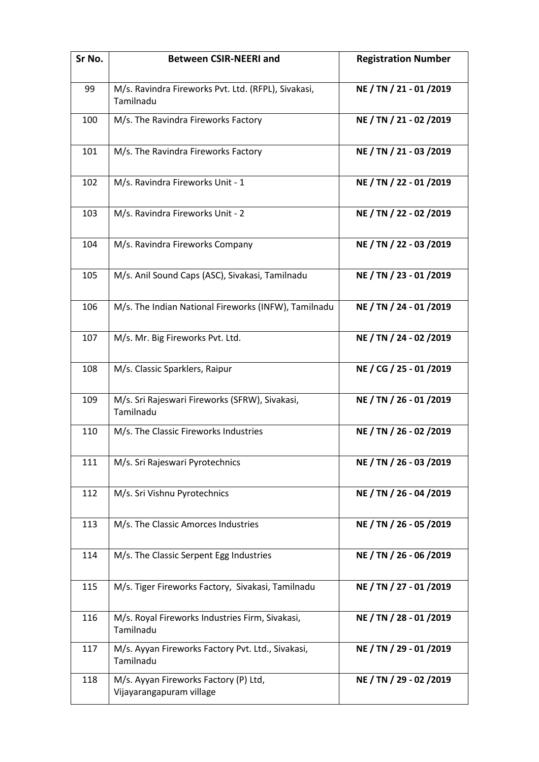| Sr No. | <b>Between CSIR-NEERI and</b>                                     | <b>Registration Number</b> |
|--------|-------------------------------------------------------------------|----------------------------|
| 99     | M/s. Ravindra Fireworks Pvt. Ltd. (RFPL), Sivakasi,<br>Tamilnadu  | NE / TN / 21 - 01 / 2019   |
| 100    | M/s. The Ravindra Fireworks Factory                               | NE / TN / 21 - 02 / 2019   |
| 101    | M/s. The Ravindra Fireworks Factory                               | NE / TN / 21 - 03 / 2019   |
| 102    | M/s. Ravindra Fireworks Unit - 1                                  | NE / TN / 22 - 01 / 2019   |
| 103    | M/s. Ravindra Fireworks Unit - 2                                  | NE / TN / 22 - 02 / 2019   |
| 104    | M/s. Ravindra Fireworks Company                                   | NE / TN / 22 - 03 / 2019   |
| 105    | M/s. Anil Sound Caps (ASC), Sivakasi, Tamilnadu                   | NE / TN / 23 - 01 / 2019   |
| 106    | M/s. The Indian National Fireworks (INFW), Tamilnadu              | NE / TN / 24 - 01 / 2019   |
| 107    | M/s. Mr. Big Fireworks Pvt. Ltd.                                  | NE / TN / 24 - 02 / 2019   |
| 108    | M/s. Classic Sparklers, Raipur                                    | NE / CG / 25 - 01 / 2019   |
| 109    | M/s. Sri Rajeswari Fireworks (SFRW), Sivakasi,<br>Tamilnadu       | NE / TN / 26 - 01 / 2019   |
| 110    | M/s. The Classic Fireworks Industries                             | NE / TN / 26 - 02 / 2019   |
| 111    | M/s. Sri Rajeswari Pyrotechnics                                   | NE / TN / 26 - 03 / 2019   |
| 112    | M/s. Sri Vishnu Pyrotechnics                                      | NE / TN / 26 - 04 / 2019   |
| 113    | M/s. The Classic Amorces Industries                               | NE / TN / 26 - 05 / 2019   |
| 114    | M/s. The Classic Serpent Egg Industries                           | NE / TN / 26 - 06 / 2019   |
| 115    | M/s. Tiger Fireworks Factory, Sivakasi, Tamilnadu                 | NE / TN / 27 - 01 /2019    |
| 116    | M/s. Royal Fireworks Industries Firm, Sivakasi,<br>Tamilnadu      | NE / TN / 28 - 01 / 2019   |
| 117    | M/s. Ayyan Fireworks Factory Pvt. Ltd., Sivakasi,<br>Tamilnadu    | NE / TN / 29 - 01 / 2019   |
| 118    | M/s. Ayyan Fireworks Factory (P) Ltd,<br>Vijayarangapuram village | NE / TN / 29 - 02 / 2019   |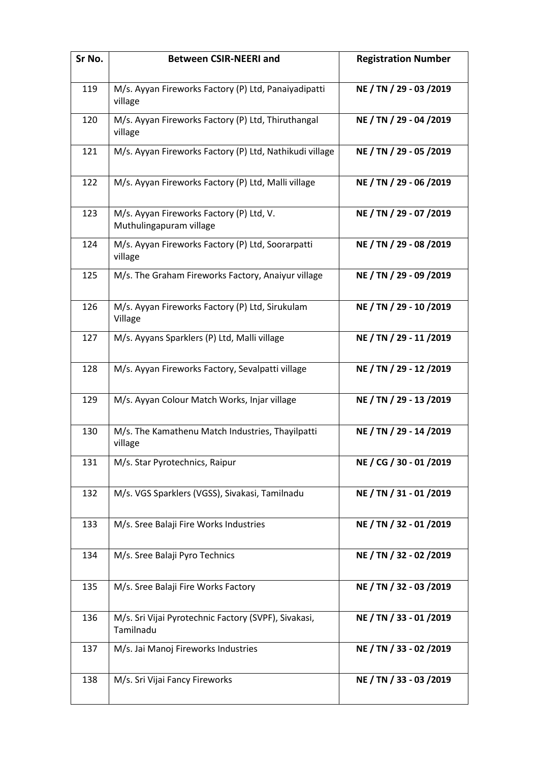| Sr No. | <b>Between CSIR-NEERI and</b>                                       | <b>Registration Number</b> |
|--------|---------------------------------------------------------------------|----------------------------|
| 119    | M/s. Ayyan Fireworks Factory (P) Ltd, Panaiyadipatti<br>village     | NE / TN / 29 - 03 / 2019   |
| 120    | M/s. Ayyan Fireworks Factory (P) Ltd, Thiruthangal<br>village       | NE / TN / 29 - 04 / 2019   |
| 121    | M/s. Ayyan Fireworks Factory (P) Ltd, Nathikudi village             | NE / TN / 29 - 05 /2019    |
| 122    | M/s. Ayyan Fireworks Factory (P) Ltd, Malli village                 | NE / TN / 29 - 06 / 2019   |
| 123    | M/s. Ayyan Fireworks Factory (P) Ltd, V.<br>Muthulingapuram village | NE / TN / 29 - 07 / 2019   |
| 124    | M/s. Ayyan Fireworks Factory (P) Ltd, Soorarpatti<br>village        | NE / TN / 29 - 08 / 2019   |
| 125    | M/s. The Graham Fireworks Factory, Anaiyur village                  | NE / TN / 29 - 09 / 2019   |
| 126    | M/s. Ayyan Fireworks Factory (P) Ltd, Sirukulam<br>Village          | NE / TN / 29 - 10 / 2019   |
| 127    | M/s. Ayyans Sparklers (P) Ltd, Malli village                        | NE / TN / 29 - 11 / 2019   |
| 128    | M/s. Ayyan Fireworks Factory, Sevalpatti village                    | NE / TN / 29 - 12 / 2019   |
| 129    | M/s. Ayyan Colour Match Works, Injar village                        | NE / TN / 29 - 13 / 2019   |
| 130    | M/s. The Kamathenu Match Industries, Thayilpatti<br>village         | NE / TN / 29 - 14 / 2019   |
| 131    | M/s. Star Pyrotechnics, Raipur                                      | NE / CG / 30 - 01 / 2019   |
| 132    | M/s. VGS Sparklers (VGSS), Sivakasi, Tamilnadu                      | NE / TN / 31 - 01 /2019    |
| 133    | M/s. Sree Balaji Fire Works Industries                              | NE / TN / 32 - 01 / 2019   |
| 134    | M/s. Sree Balaji Pyro Technics                                      | NE / TN / 32 - 02 / 2019   |
| 135    | M/s. Sree Balaji Fire Works Factory                                 | NE / TN / 32 - 03 / 2019   |
| 136    | M/s. Sri Vijai Pyrotechnic Factory (SVPF), Sivakasi,<br>Tamilnadu   | NE / TN / 33 - 01 / 2019   |
| 137    | M/s. Jai Manoj Fireworks Industries                                 | NE / TN / 33 - 02 / 2019   |
| 138    | M/s. Sri Vijai Fancy Fireworks                                      | NE / TN / 33 - 03 / 2019   |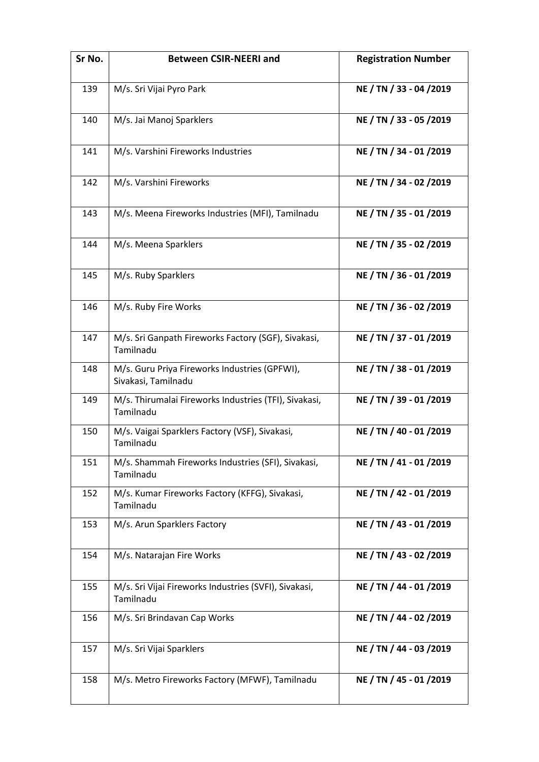| Sr No. | <b>Between CSIR-NEERI and</b>                                        | <b>Registration Number</b> |
|--------|----------------------------------------------------------------------|----------------------------|
| 139    | M/s. Sri Vijai Pyro Park                                             | NE / TN / 33 - 04 /2019    |
| 140    | M/s. Jai Manoj Sparklers                                             | NE / TN / 33 - 05 /2019    |
| 141    | M/s. Varshini Fireworks Industries                                   | NE / TN / 34 - 01 / 2019   |
| 142    | M/s. Varshini Fireworks                                              | NE / TN / 34 - 02 / 2019   |
| 143    | M/s. Meena Fireworks Industries (MFI), Tamilnadu                     | NE / TN / 35 - 01 / 2019   |
| 144    | M/s. Meena Sparklers                                                 | NE / TN / 35 - 02 / 2019   |
| 145    | M/s. Ruby Sparklers                                                  | NE / TN / 36 - 01 / 2019   |
| 146    | M/s. Ruby Fire Works                                                 | NE / TN / 36 - 02 / 2019   |
| 147    | M/s. Sri Ganpath Fireworks Factory (SGF), Sivakasi,<br>Tamilnadu     | NE / TN / 37 - 01 /2019    |
| 148    | M/s. Guru Priya Fireworks Industries (GPFWI),<br>Sivakasi, Tamilnadu | NE / TN / 38 - 01 / 2019   |
| 149    | M/s. Thirumalai Fireworks Industries (TFI), Sivakasi,<br>Tamilnadu   | NE / TN / 39 - 01 / 2019   |
| 150    | M/s. Vaigai Sparklers Factory (VSF), Sivakasi,<br>Tamilnadu          | NE / TN / 40 - 01 / 2019   |
| 151    | M/s. Shammah Fireworks Industries (SFI), Sivakasi,<br>Tamilnadu      | NE / TN / 41 - 01 /2019    |
| 152    | M/s. Kumar Fireworks Factory (KFFG), Sivakasi,<br>Tamilnadu          | NE / TN / 42 - 01 /2019    |
| 153    | M/s. Arun Sparklers Factory                                          | NE / TN / 43 - 01 /2019    |
| 154    | M/s. Natarajan Fire Works                                            | NE / TN / 43 - 02 / 2019   |
| 155    | M/s. Sri Vijai Fireworks Industries (SVFI), Sivakasi,<br>Tamilnadu   | NE / TN / 44 - 01 /2019    |
| 156    | M/s. Sri Brindavan Cap Works                                         | NE / TN / 44 - 02 / 2019   |
| 157    | M/s. Sri Vijai Sparklers                                             | NE / TN / 44 - 03 / 2019   |
| 158    | M/s. Metro Fireworks Factory (MFWF), Tamilnadu                       | NE / TN / 45 - 01 /2019    |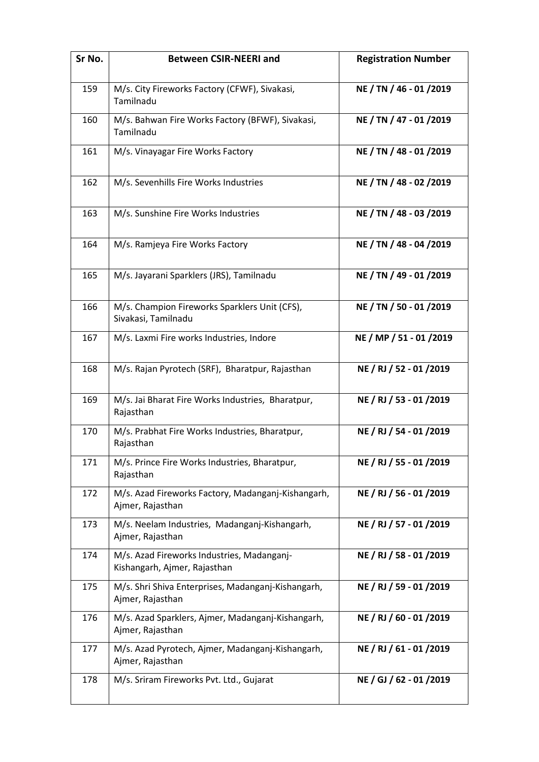| Sr No. | <b>Between CSIR-NEERI and</b>                                              | <b>Registration Number</b> |
|--------|----------------------------------------------------------------------------|----------------------------|
| 159    | M/s. City Fireworks Factory (CFWF), Sivakasi,<br>Tamilnadu                 | NE / TN / 46 - 01 / 2019   |
| 160    | M/s. Bahwan Fire Works Factory (BFWF), Sivakasi,<br>Tamilnadu              | NE / TN / 47 - 01 /2019    |
| 161    | M/s. Vinayagar Fire Works Factory                                          | NE / TN / 48 - 01 /2019    |
| 162    | M/s. Sevenhills Fire Works Industries                                      | NE / TN / 48 - 02 / 2019   |
| 163    | M/s. Sunshine Fire Works Industries                                        | NE / TN / 48 - 03 / 2019   |
| 164    | M/s. Ramjeya Fire Works Factory                                            | NE / TN / 48 - 04 / 2019   |
| 165    | M/s. Jayarani Sparklers (JRS), Tamilnadu                                   | NE / TN / 49 - 01 /2019    |
| 166    | M/s. Champion Fireworks Sparklers Unit (CFS),<br>Sivakasi, Tamilnadu       | NE / TN / 50 - 01 /2019    |
| 167    | M/s. Laxmi Fire works Industries, Indore                                   | NE / MP / 51 - 01 /2019    |
| 168    | M/s. Rajan Pyrotech (SRF), Bharatpur, Rajasthan                            | NE / RJ / 52 - 01 /2019    |
| 169    | M/s. Jai Bharat Fire Works Industries, Bharatpur,<br>Rajasthan             | NE / RJ / 53 - 01 /2019    |
| 170    | M/s. Prabhat Fire Works Industries, Bharatpur,<br>Rajasthan                | NE / RJ / 54 - 01 /2019    |
| 171    | M/s. Prince Fire Works Industries, Bharatpur,<br>Rajasthan                 | NE / RJ / 55 - 01 /2019    |
| 172    | M/s. Azad Fireworks Factory, Madanganj-Kishangarh,<br>Ajmer, Rajasthan     | NE / RJ / 56 - 01 /2019    |
| 173    | M/s. Neelam Industries, Madanganj-Kishangarh,<br>Ajmer, Rajasthan          | NE / RJ / 57 - 01 /2019    |
| 174    | M/s. Azad Fireworks Industries, Madanganj-<br>Kishangarh, Ajmer, Rajasthan | NE / RJ / 58 - 01 /2019    |
| 175    | M/s. Shri Shiva Enterprises, Madanganj-Kishangarh,<br>Ajmer, Rajasthan     | NE / RJ / 59 - 01 /2019    |
| 176    | M/s. Azad Sparklers, Ajmer, Madanganj-Kishangarh,<br>Ajmer, Rajasthan      | NE / RJ / 60 - 01 /2019    |
| 177    | M/s. Azad Pyrotech, Ajmer, Madanganj-Kishangarh,<br>Ajmer, Rajasthan       | NE / RJ / 61 - 01 /2019    |
| 178    | M/s. Sriram Fireworks Pvt. Ltd., Gujarat                                   | NE / GJ / 62 - 01 /2019    |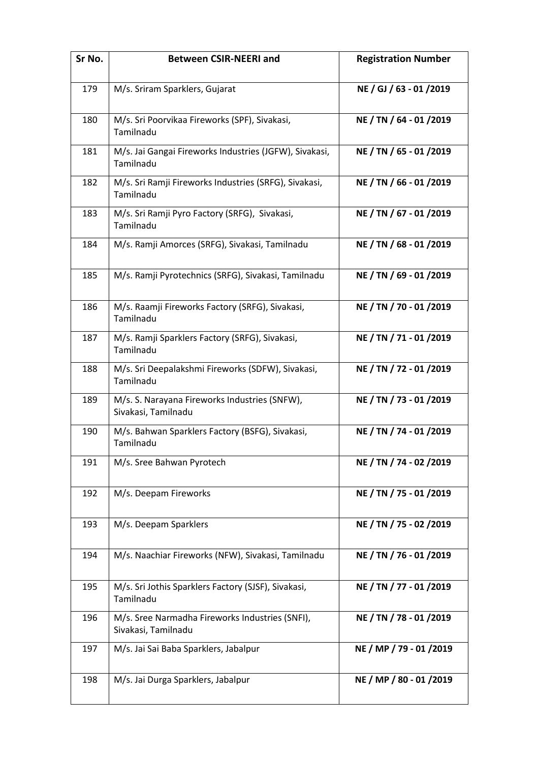| Sr No. | <b>Between CSIR-NEERI and</b>                                          | <b>Registration Number</b> |
|--------|------------------------------------------------------------------------|----------------------------|
| 179    | M/s. Sriram Sparklers, Gujarat                                         | NE / GJ / 63 - 01 /2019    |
| 180    | M/s. Sri Poorvikaa Fireworks (SPF), Sivakasi,<br>Tamilnadu             | NE / TN / 64 - 01 / 2019   |
| 181    | M/s. Jai Gangai Fireworks Industries (JGFW), Sivakasi,<br>Tamilnadu    | NE / TN / 65 - 01 /2019    |
| 182    | M/s. Sri Ramji Fireworks Industries (SRFG), Sivakasi,<br>Tamilnadu     | NE / TN / 66 - 01 / 2019   |
| 183    | M/s. Sri Ramji Pyro Factory (SRFG), Sivakasi,<br>Tamilnadu             | NE / TN / 67 - 01 /2019    |
| 184    | M/s. Ramji Amorces (SRFG), Sivakasi, Tamilnadu                         | NE / TN / 68 - 01 / 2019   |
| 185    | M/s. Ramji Pyrotechnics (SRFG), Sivakasi, Tamilnadu                    | NE / TN / 69 - 01 / 2019   |
| 186    | M/s. Raamji Fireworks Factory (SRFG), Sivakasi,<br>Tamilnadu           | NE / TN / 70 - 01 /2019    |
| 187    | M/s. Ramji Sparklers Factory (SRFG), Sivakasi,<br>Tamilnadu            | NE / TN / 71 - 01 /2019    |
| 188    | M/s. Sri Deepalakshmi Fireworks (SDFW), Sivakasi,<br>Tamilnadu         | NE / TN / 72 - 01 /2019    |
| 189    | M/s. S. Narayana Fireworks Industries (SNFW),<br>Sivakasi, Tamilnadu   | NE / TN / 73 - 01 / 2019   |
| 190    | M/s. Bahwan Sparklers Factory (BSFG), Sivakasi,<br>Tamilnadu           | NE / TN / 74 - 01 /2019    |
| 191    | M/s. Sree Bahwan Pyrotech                                              | NE / TN / 74 - 02 / 2019   |
| 192    | M/s. Deepam Fireworks                                                  | NE / TN / 75 - 01 /2019    |
| 193    | M/s. Deepam Sparklers                                                  | NE / TN / 75 - 02 / 2019   |
| 194    | M/s. Naachiar Fireworks (NFW), Sivakasi, Tamilnadu                     | NE / TN / 76 - 01 / 2019   |
| 195    | M/s. Sri Jothis Sparklers Factory (SJSF), Sivakasi,<br>Tamilnadu       | NE / TN / 77 - 01 /2019    |
| 196    | M/s. Sree Narmadha Fireworks Industries (SNFI),<br>Sivakasi, Tamilnadu | NE / TN / 78 - 01 /2019    |
| 197    | M/s. Jai Sai Baba Sparklers, Jabalpur                                  | NE / MP / 79 - 01 /2019    |
| 198    | M/s. Jai Durga Sparklers, Jabalpur                                     | NE / MP / 80 - 01 /2019    |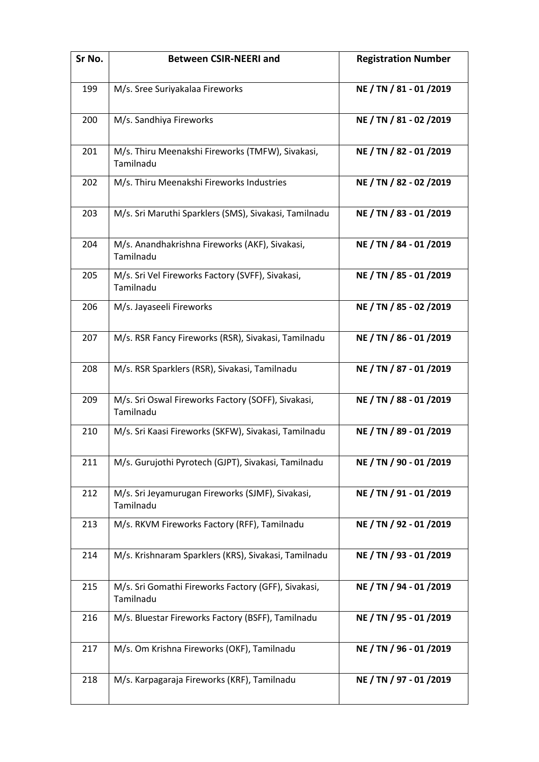| Sr No. | <b>Between CSIR-NEERI and</b>                                    | <b>Registration Number</b> |
|--------|------------------------------------------------------------------|----------------------------|
| 199    | M/s. Sree Suriyakalaa Fireworks                                  | NE / TN / 81 - 01 / 2019   |
| 200    | M/s. Sandhiya Fireworks                                          | NE / TN / 81 - 02 / 2019   |
| 201    | M/s. Thiru Meenakshi Fireworks (TMFW), Sivakasi,<br>Tamilnadu    | NE / TN / 82 - 01 / 2019   |
| 202    | M/s. Thiru Meenakshi Fireworks Industries                        | NE / TN / 82 - 02 / 2019   |
| 203    | M/s. Sri Maruthi Sparklers (SMS), Sivakasi, Tamilnadu            | NE / TN / 83 - 01 / 2019   |
| 204    | M/s. Anandhakrishna Fireworks (AKF), Sivakasi,<br>Tamilnadu      | NE / TN / 84 - 01 /2019    |
| 205    | M/s. Sri Vel Fireworks Factory (SVFF), Sivakasi,<br>Tamilnadu    | NE / TN / 85 - 01 / 2019   |
| 206    | M/s. Jayaseeli Fireworks                                         | NE / TN / 85 - 02 / 2019   |
| 207    | M/s. RSR Fancy Fireworks (RSR), Sivakasi, Tamilnadu              | NE / TN / 86 - 01 / 2019   |
| 208    | M/s. RSR Sparklers (RSR), Sivakasi, Tamilnadu                    | NE / TN / 87 - 01 /2019    |
| 209    | M/s. Sri Oswal Fireworks Factory (SOFF), Sivakasi,<br>Tamilnadu  | NE / TN / 88 - 01 / 2019   |
| 210    | M/s. Sri Kaasi Fireworks (SKFW), Sivakasi, Tamilnadu             | NE / TN / 89 - 01 / 2019   |
| 211    | M/s. Gurujothi Pyrotech (GJPT), Sivakasi, Tamilnadu              | NE / TN / 90 - 01 /2019    |
| 212    | M/s. Sri Jeyamurugan Fireworks (SJMF), Sivakasi,<br>Tamilnadu    | NE / TN / 91 - 01 /2019    |
| 213    | M/s. RKVM Fireworks Factory (RFF), Tamilnadu                     | NE / TN / 92 - 01 /2019    |
| 214    | M/s. Krishnaram Sparklers (KRS), Sivakasi, Tamilnadu             | NE / TN / 93 - 01 /2019    |
| 215    | M/s. Sri Gomathi Fireworks Factory (GFF), Sivakasi,<br>Tamilnadu | NE / TN / 94 - 01 /2019    |
| 216    | M/s. Bluestar Fireworks Factory (BSFF), Tamilnadu                | NE / TN / 95 - 01 /2019    |
| 217    | M/s. Om Krishna Fireworks (OKF), Tamilnadu                       | NE / TN / 96 - 01 / 2019   |
| 218    | M/s. Karpagaraja Fireworks (KRF), Tamilnadu                      | NE / TN / 97 - 01 /2019    |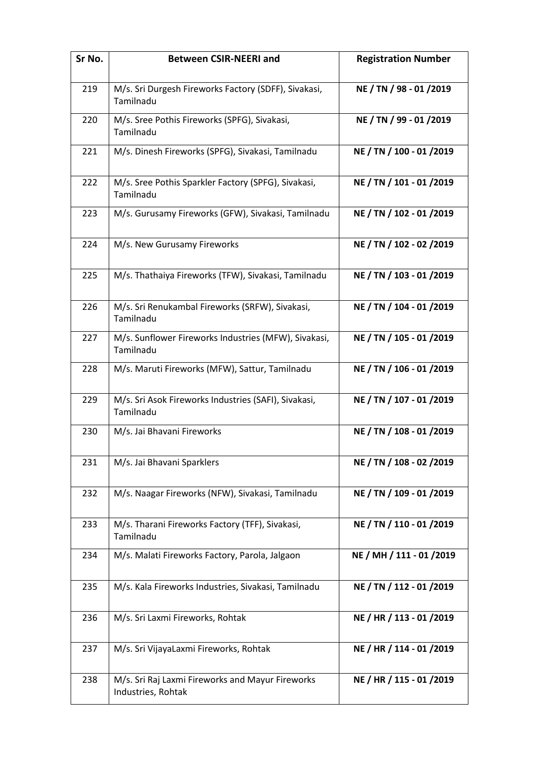| Sr No. | <b>Between CSIR-NEERI and</b>                                          | <b>Registration Number</b> |
|--------|------------------------------------------------------------------------|----------------------------|
| 219    | M/s. Sri Durgesh Fireworks Factory (SDFF), Sivakasi,<br>Tamilnadu      | NE / TN / 98 - 01 / 2019   |
| 220    | M/s. Sree Pothis Fireworks (SPFG), Sivakasi,<br>Tamilnadu              | NE / TN / 99 - 01 /2019    |
| 221    | M/s. Dinesh Fireworks (SPFG), Sivakasi, Tamilnadu                      | NE / TN / 100 - 01 /2019   |
| 222    | M/s. Sree Pothis Sparkler Factory (SPFG), Sivakasi,<br>Tamilnadu       | NE / TN / 101 - 01 / 2019  |
| 223    | M/s. Gurusamy Fireworks (GFW), Sivakasi, Tamilnadu                     | NE / TN / 102 - 01 / 2019  |
| 224    | M/s. New Gurusamy Fireworks                                            | NE / TN / 102 - 02 / 2019  |
| 225    | M/s. Thathaiya Fireworks (TFW), Sivakasi, Tamilnadu                    | NE / TN / 103 - 01 / 2019  |
| 226    | M/s. Sri Renukambal Fireworks (SRFW), Sivakasi,<br>Tamilnadu           | NE / TN / 104 - 01 /2019   |
| 227    | M/s. Sunflower Fireworks Industries (MFW), Sivakasi,<br>Tamilnadu      | NE / TN / 105 - 01 /2019   |
| 228    | M/s. Maruti Fireworks (MFW), Sattur, Tamilnadu                         | NE / TN / 106 - 01 / 2019  |
| 229    | M/s. Sri Asok Fireworks Industries (SAFI), Sivakasi,<br>Tamilnadu      | NE / TN / 107 - 01 /2019   |
| 230    | M/s. Jai Bhavani Fireworks                                             | NE / TN / 108 - 01 / 2019  |
| 231    | M/s. Jai Bhavani Sparklers                                             | NE / TN / 108 - 02 / 2019  |
| 232    | M/s. Naagar Fireworks (NFW), Sivakasi, Tamilnadu                       | NE / TN / 109 - 01 /2019   |
| 233    | M/s. Tharani Fireworks Factory (TFF), Sivakasi,<br>Tamilnadu           | NE / TN / 110 - 01 /2019   |
| 234    | M/s. Malati Fireworks Factory, Parola, Jalgaon                         | NE / MH / 111 - 01 /2019   |
| 235    | M/s. Kala Fireworks Industries, Sivakasi, Tamilnadu                    | NE / TN / 112 - 01 /2019   |
| 236    | M/s. Sri Laxmi Fireworks, Rohtak                                       | NE / HR / 113 - 01 /2019   |
| 237    | M/s. Sri VijayaLaxmi Fireworks, Rohtak                                 | NE / HR / 114 - 01 / 2019  |
| 238    | M/s. Sri Raj Laxmi Fireworks and Mayur Fireworks<br>Industries, Rohtak | NE / HR / 115 - 01 / 2019  |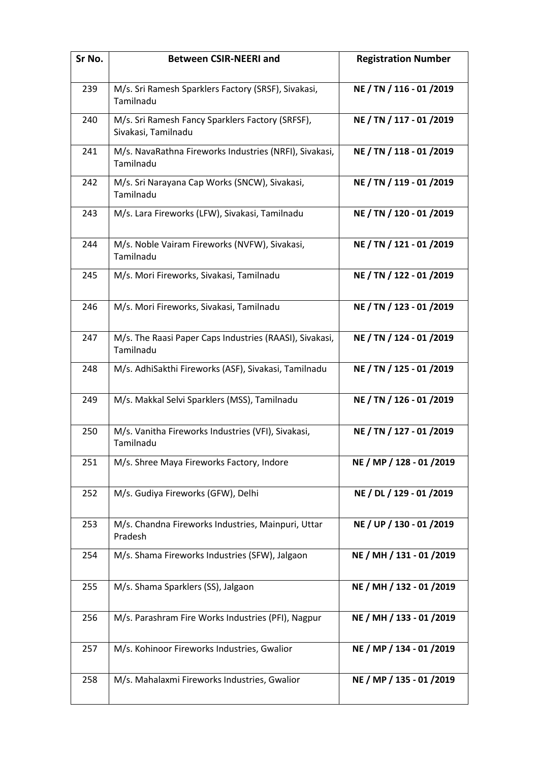| Sr No. | <b>Between CSIR-NEERI and</b>                                           | <b>Registration Number</b> |
|--------|-------------------------------------------------------------------------|----------------------------|
| 239    | M/s. Sri Ramesh Sparklers Factory (SRSF), Sivakasi,<br>Tamilnadu        | NE / TN / 116 - 01 / 2019  |
| 240    | M/s. Sri Ramesh Fancy Sparklers Factory (SRFSF),<br>Sivakasi, Tamilnadu | NE / TN / 117 - 01 /2019   |
| 241    | M/s. NavaRathna Fireworks Industries (NRFI), Sivakasi,<br>Tamilnadu     | NE / TN / 118 - 01 /2019   |
| 242    | M/s. Sri Narayana Cap Works (SNCW), Sivakasi,<br>Tamilnadu              | NE / TN / 119 - 01 /2019   |
| 243    | M/s. Lara Fireworks (LFW), Sivakasi, Tamilnadu                          | NE / TN / 120 - 01 / 2019  |
| 244    | M/s. Noble Vairam Fireworks (NVFW), Sivakasi,<br>Tamilnadu              | NE / TN / 121 - 01 / 2019  |
| 245    | M/s. Mori Fireworks, Sivakasi, Tamilnadu                                | NE / TN / 122 - 01 / 2019  |
| 246    | M/s. Mori Fireworks, Sivakasi, Tamilnadu                                | NE / TN / 123 - 01 /2019   |
| 247    | M/s. The Raasi Paper Caps Industries (RAASI), Sivakasi,<br>Tamilnadu    | NE / TN / 124 - 01 /2019   |
| 248    | M/s. AdhiSakthi Fireworks (ASF), Sivakasi, Tamilnadu                    | NE / TN / 125 - 01 / 2019  |
| 249    | M/s. Makkal Selvi Sparklers (MSS), Tamilnadu                            | NE / TN / 126 - 01 / 2019  |
| 250    | M/s. Vanitha Fireworks Industries (VFI), Sivakasi,<br>Tamilnadu         | NE / TN / 127 - 01 / 2019  |
| 251    | M/s. Shree Maya Fireworks Factory, Indore                               | NE / MP / 128 - 01 /2019   |
| 252    | M/s. Gudiya Fireworks (GFW), Delhi                                      | NE / DL / 129 - 01 /2019   |
| 253    | M/s. Chandna Fireworks Industries, Mainpuri, Uttar<br>Pradesh           | NE / UP / 130 - 01 / 2019  |
| 254    | M/s. Shama Fireworks Industries (SFW), Jalgaon                          | NE / MH / 131 - 01 /2019   |
| 255    | M/s. Shama Sparklers (SS), Jalgaon                                      | NE / MH / 132 - 01 /2019   |
| 256    | M/s. Parashram Fire Works Industries (PFI), Nagpur                      | NE / MH / 133 - 01 /2019   |
| 257    | M/s. Kohinoor Fireworks Industries, Gwalior                             | NE / MP / 134 - 01 /2019   |
| 258    | M/s. Mahalaxmi Fireworks Industries, Gwalior                            | NE / MP / 135 - 01 /2019   |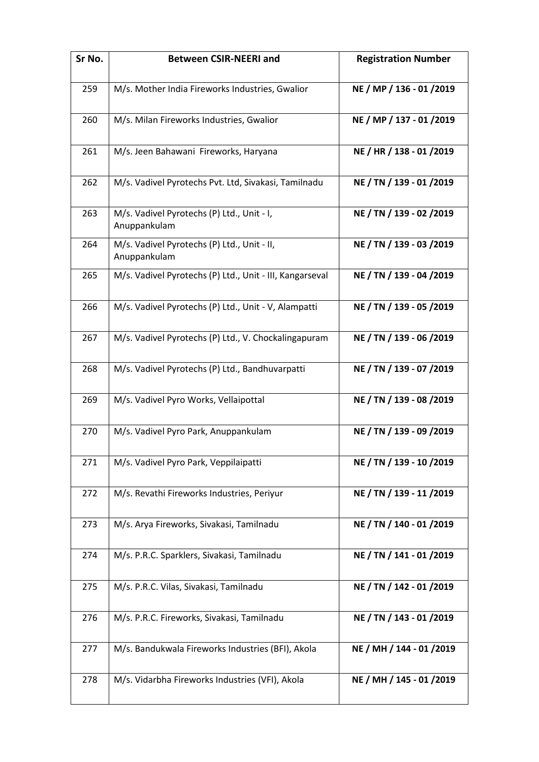| Sr No. | <b>Between CSIR-NEERI and</b>                               | <b>Registration Number</b> |
|--------|-------------------------------------------------------------|----------------------------|
| 259    | M/s. Mother India Fireworks Industries, Gwalior             | NE / MP / 136 - 01 /2019   |
| 260    | M/s. Milan Fireworks Industries, Gwalior                    | NE / MP / 137 - 01 /2019   |
| 261    | M/s. Jeen Bahawani Fireworks, Haryana                       | NE / HR / 138 - 01 / 2019  |
| 262    | M/s. Vadivel Pyrotechs Pvt. Ltd, Sivakasi, Tamilnadu        | NE / TN / 139 - 01 /2019   |
| 263    | M/s. Vadivel Pyrotechs (P) Ltd., Unit - I,<br>Anuppankulam  | NE / TN / 139 - 02 / 2019  |
| 264    | M/s. Vadivel Pyrotechs (P) Ltd., Unit - II,<br>Anuppankulam | NE / TN / 139 - 03 /2019   |
| 265    | M/s. Vadivel Pyrotechs (P) Ltd., Unit - III, Kangarseval    | NE / TN / 139 - 04 / 2019  |
| 266    | M/s. Vadivel Pyrotechs (P) Ltd., Unit - V, Alampatti        | NE / TN / 139 - 05 /2019   |
| 267    | M/s. Vadivel Pyrotechs (P) Ltd., V. Chockalingapuram        | NE / TN / 139 - 06 / 2019  |
| 268    | M/s. Vadivel Pyrotechs (P) Ltd., Bandhuvarpatti             | NE / TN / 139 - 07 / 2019  |
| 269    | M/s. Vadivel Pyro Works, Vellaipottal                       | NE / TN / 139 - 08 / 2019  |
| 270    | M/s. Vadivel Pyro Park, Anuppankulam                        | NE / TN / 139 - 09 / 2019  |
| 271    | M/s. Vadivel Pyro Park, Veppilaipatti                       | NE / TN / 139 - 10 / 2019  |
| 272    | M/s. Revathi Fireworks Industries, Periyur                  | NE / TN / 139 - 11 /2019   |
| 273    | M/s. Arya Fireworks, Sivakasi, Tamilnadu                    | NE / TN / 140 - 01 /2019   |
| 274    | M/s. P.R.C. Sparklers, Sivakasi, Tamilnadu                  | NE / TN / 141 - 01 /2019   |
| 275    | M/s. P.R.C. Vilas, Sivakasi, Tamilnadu                      | NE / TN / 142 - 01 / 2019  |
| 276    | M/s. P.R.C. Fireworks, Sivakasi, Tamilnadu                  | NE / TN / 143 - 01 / 2019  |
| 277    | M/s. Bandukwala Fireworks Industries (BFI), Akola           | NE / MH / 144 - 01 /2019   |
| 278    | M/s. Vidarbha Fireworks Industries (VFI), Akola             | NE / MH / 145 - 01 /2019   |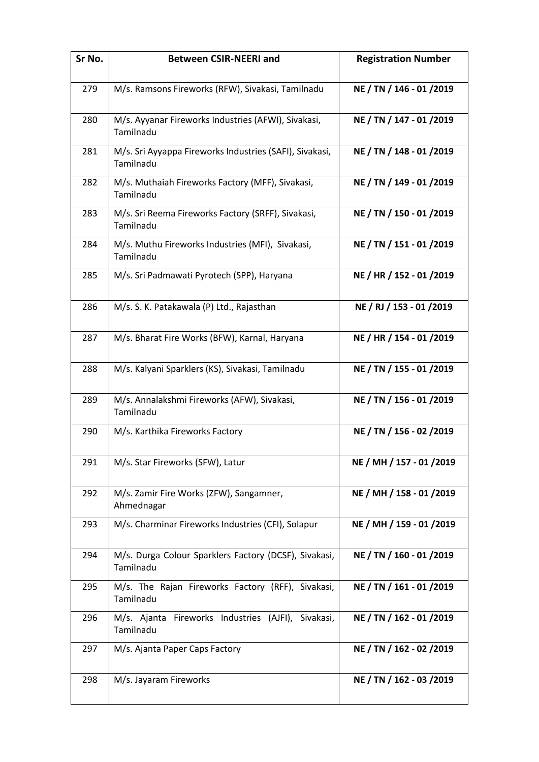| Sr No. | <b>Between CSIR-NEERI and</b>                                        | <b>Registration Number</b> |
|--------|----------------------------------------------------------------------|----------------------------|
| 279    | M/s. Ramsons Fireworks (RFW), Sivakasi, Tamilnadu                    | NE / TN / 146 - 01 / 2019  |
| 280    | M/s. Ayyanar Fireworks Industries (AFWI), Sivakasi,<br>Tamilnadu     | NE / TN / 147 - 01 / 2019  |
| 281    | M/s. Sri Ayyappa Fireworks Industries (SAFI), Sivakasi,<br>Tamilnadu | NE / TN / 148 - 01 / 2019  |
| 282    | M/s. Muthaiah Fireworks Factory (MFF), Sivakasi,<br>Tamilnadu        | NE / TN / 149 - 01 / 2019  |
| 283    | M/s. Sri Reema Fireworks Factory (SRFF), Sivakasi,<br>Tamilnadu      | NE / TN / 150 - 01 /2019   |
| 284    | M/s. Muthu Fireworks Industries (MFI), Sivakasi,<br>Tamilnadu        | NE / TN / 151 - 01 /2019   |
| 285    | M/s. Sri Padmawati Pyrotech (SPP), Haryana                           | NE / HR / 152 - 01 / 2019  |
| 286    | M/s. S. K. Patakawala (P) Ltd., Rajasthan                            | NE / RJ / 153 - 01 /2019   |
| 287    | M/s. Bharat Fire Works (BFW), Karnal, Haryana                        | NE / HR / 154 - 01 / 2019  |
| 288    | M/s. Kalyani Sparklers (KS), Sivakasi, Tamilnadu                     | NE / TN / 155 - 01 /2019   |
| 289    | M/s. Annalakshmi Fireworks (AFW), Sivakasi,<br>Tamilnadu             | NE / TN / 156 - 01 /2019   |
| 290    | M/s. Karthika Fireworks Factory                                      | NE / TN / 156 - 02 / 2019  |
| 291    | M/s. Star Fireworks (SFW), Latur                                     | NE / MH / 157 - 01 /2019   |
| 292    | M/s. Zamir Fire Works (ZFW), Sangamner,<br>Ahmednagar                | NE / MH / 158 - 01 /2019   |
| 293    | M/s. Charminar Fireworks Industries (CFI), Solapur                   | NE / MH / 159 - 01 /2019   |
| 294    | M/s. Durga Colour Sparklers Factory (DCSF), Sivakasi,<br>Tamilnadu   | NE / TN / 160 - 01 / 2019  |
| 295    | M/s. The Rajan Fireworks Factory (RFF), Sivakasi,<br>Tamilnadu       | NE / TN / 161 - 01 / 2019  |
| 296    | M/s. Ajanta Fireworks Industries (AJFI), Sivakasi,<br>Tamilnadu      | NE / TN / 162 - 01 / 2019  |
| 297    | M/s. Ajanta Paper Caps Factory                                       | NE / TN / 162 - 02 / 2019  |
| 298    | M/s. Jayaram Fireworks                                               | NE / TN / 162 - 03 / 2019  |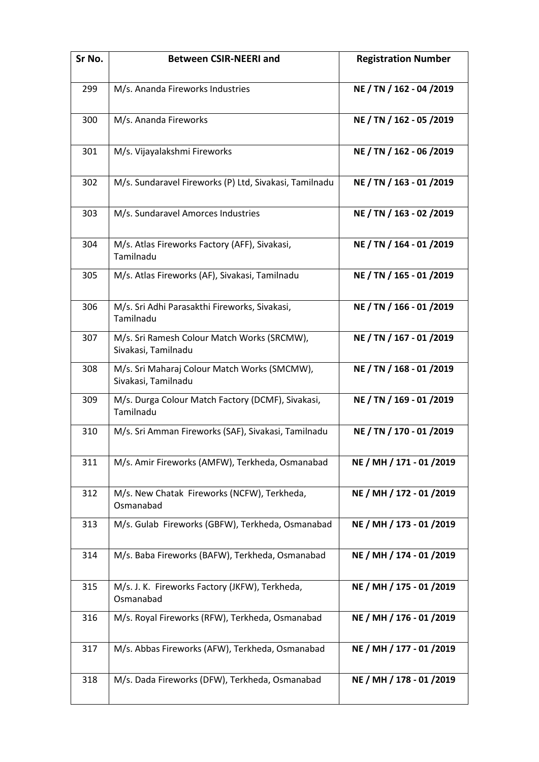| Sr No. | <b>Between CSIR-NEERI and</b>                                       | <b>Registration Number</b> |
|--------|---------------------------------------------------------------------|----------------------------|
| 299    | M/s. Ananda Fireworks Industries                                    | NE / TN / 162 - 04 /2019   |
| 300    | M/s. Ananda Fireworks                                               | NE / TN / 162 - 05 /2019   |
| 301    | M/s. Vijayalakshmi Fireworks                                        | NE / TN / 162 - 06 / 2019  |
| 302    | M/s. Sundaravel Fireworks (P) Ltd, Sivakasi, Tamilnadu              | NE / TN / 163 - 01 / 2019  |
| 303    | M/s. Sundaravel Amorces Industries                                  | NE / TN / 163 - 02 / 2019  |
| 304    | M/s. Atlas Fireworks Factory (AFF), Sivakasi,<br>Tamilnadu          | NE / TN / 164 - 01 /2019   |
| 305    | M/s. Atlas Fireworks (AF), Sivakasi, Tamilnadu                      | NE / TN / 165 - 01 / 2019  |
| 306    | M/s. Sri Adhi Parasakthi Fireworks, Sivakasi,<br>Tamilnadu          | NE / TN / 166 - 01 / 2019  |
| 307    | M/s. Sri Ramesh Colour Match Works (SRCMW),<br>Sivakasi, Tamilnadu  | NE / TN / 167 - 01 / 2019  |
| 308    | M/s. Sri Maharaj Colour Match Works (SMCMW),<br>Sivakasi, Tamilnadu | NE / TN / 168 - 01 / 2019  |
| 309    | M/s. Durga Colour Match Factory (DCMF), Sivakasi,<br>Tamilnadu      | NE / TN / 169 - 01 / 2019  |
| 310    | M/s. Sri Amman Fireworks (SAF), Sivakasi, Tamilnadu                 | NE / TN / 170 - 01 /2019   |
| 311    | M/s. Amir Fireworks (AMFW), Terkheda, Osmanabad                     | NE / MH / 171 - 01 /2019   |
| 312    | M/s. New Chatak Fireworks (NCFW), Terkheda,<br>Osmanabad            | NE / MH / 172 - 01 /2019   |
| 313    | M/s. Gulab Fireworks (GBFW), Terkheda, Osmanabad                    | NE / MH / 173 - 01 /2019   |
| 314    | M/s. Baba Fireworks (BAFW), Terkheda, Osmanabad                     | NE / MH / 174 - 01 /2019   |
| 315    | M/s. J. K. Fireworks Factory (JKFW), Terkheda,<br>Osmanabad         | NE / MH / 175 - 01 /2019   |
| 316    | M/s. Royal Fireworks (RFW), Terkheda, Osmanabad                     | NE / MH / 176 - 01 /2019   |
| 317    | M/s. Abbas Fireworks (AFW), Terkheda, Osmanabad                     | NE / MH / 177 - 01 /2019   |
| 318    | M/s. Dada Fireworks (DFW), Terkheda, Osmanabad                      | NE / MH / 178 - 01 /2019   |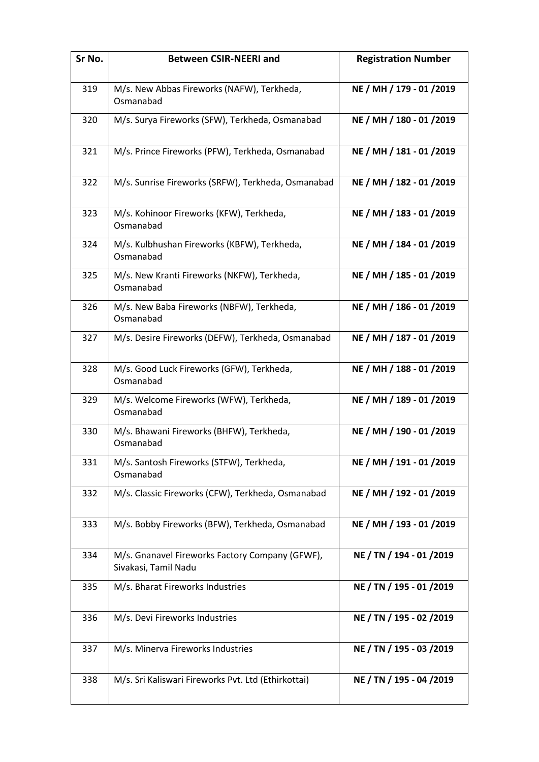| Sr No. | <b>Between CSIR-NEERI and</b>                                           | <b>Registration Number</b> |
|--------|-------------------------------------------------------------------------|----------------------------|
| 319    | M/s. New Abbas Fireworks (NAFW), Terkheda,<br>Osmanabad                 | NE / MH / 179 - 01 /2019   |
| 320    | M/s. Surya Fireworks (SFW), Terkheda, Osmanabad                         | NE / MH / 180 - 01 /2019   |
| 321    | M/s. Prince Fireworks (PFW), Terkheda, Osmanabad                        | NE / MH / 181 - 01 /2019   |
| 322    | M/s. Sunrise Fireworks (SRFW), Terkheda, Osmanabad                      | NE / MH / 182 - 01 /2019   |
| 323    | M/s. Kohinoor Fireworks (KFW), Terkheda,<br>Osmanabad                   | NE / MH / 183 - 01 / 2019  |
| 324    | M/s. Kulbhushan Fireworks (KBFW), Terkheda,<br>Osmanabad                | NE / MH / 184 - 01 /2019   |
| 325    | M/s. New Kranti Fireworks (NKFW), Terkheda,<br>Osmanabad                | NE / MH / 185 - 01 /2019   |
| 326    | M/s. New Baba Fireworks (NBFW), Terkheda,<br>Osmanabad                  | NE / MH / 186 - 01 / 2019  |
| 327    | M/s. Desire Fireworks (DEFW), Terkheda, Osmanabad                       | NE / MH / 187 - 01 /2019   |
| 328    | M/s. Good Luck Fireworks (GFW), Terkheda,<br>Osmanabad                  | NE / MH / 188 - 01 / 2019  |
| 329    | M/s. Welcome Fireworks (WFW), Terkheda,<br>Osmanabad                    | NE / MH / 189 - 01 /2019   |
| 330    | M/s. Bhawani Fireworks (BHFW), Terkheda,<br>Osmanabad                   | NE / MH / 190 - 01 /2019   |
| 331    | M/s. Santosh Fireworks (STFW), Terkheda,<br>Osmanabad                   | NE / MH / 191 - 01 /2019   |
| 332    | M/s. Classic Fireworks (CFW), Terkheda, Osmanabad                       | NE / MH / 192 - 01 /2019   |
| 333    | M/s. Bobby Fireworks (BFW), Terkheda, Osmanabad                         | NE / MH / 193 - 01 /2019   |
| 334    | M/s. Gnanavel Fireworks Factory Company (GFWF),<br>Sivakasi, Tamil Nadu | NE / TN / 194 - 01 /2019   |
| 335    | M/s. Bharat Fireworks Industries                                        | NE / TN / 195 - 01 /2019   |
| 336    | M/s. Devi Fireworks Industries                                          | NE / TN / 195 - 02 / 2019  |
| 337    | M/s. Minerva Fireworks Industries                                       | NE / TN / 195 - 03 /2019   |
| 338    | M/s. Sri Kaliswari Fireworks Pvt. Ltd (Ethirkottai)                     | NE / TN / 195 - 04 /2019   |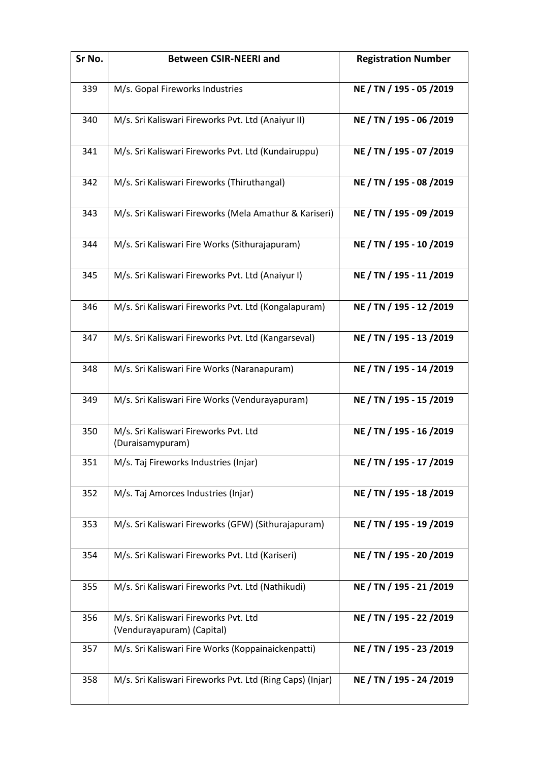| Sr No. | <b>Between CSIR-NEERI and</b>                                       | <b>Registration Number</b> |
|--------|---------------------------------------------------------------------|----------------------------|
| 339    | M/s. Gopal Fireworks Industries                                     | NE / TN / 195 - 05 /2019   |
| 340    | M/s. Sri Kaliswari Fireworks Pvt. Ltd (Anaiyur II)                  | NE / TN / 195 - 06 / 2019  |
| 341    | M/s. Sri Kaliswari Fireworks Pvt. Ltd (Kundairuppu)                 | NE / TN / 195 - 07 / 2019  |
| 342    | M/s. Sri Kaliswari Fireworks (Thiruthangal)                         | NE / TN / 195 - 08 / 2019  |
| 343    | M/s. Sri Kaliswari Fireworks (Mela Amathur & Kariseri)              | NE / TN / 195 - 09 / 2019  |
| 344    | M/s. Sri Kaliswari Fire Works (Sithurajapuram)                      | NE / TN / 195 - 10 / 2019  |
| 345    | M/s. Sri Kaliswari Fireworks Pvt. Ltd (Anaiyur I)                   | NE / TN / 195 - 11 / 2019  |
| 346    | M/s. Sri Kaliswari Fireworks Pvt. Ltd (Kongalapuram)                | NE / TN / 195 - 12 / 2019  |
| 347    | M/s. Sri Kaliswari Fireworks Pvt. Ltd (Kangarseval)                 | NE / TN / 195 - 13 / 2019  |
| 348    | M/s. Sri Kaliswari Fire Works (Naranapuram)                         | NE / TN / 195 - 14 / 2019  |
| 349    | M/s. Sri Kaliswari Fire Works (Vendurayapuram)                      | NE / TN / 195 - 15 / 2019  |
| 350    | M/s. Sri Kaliswari Fireworks Pvt. Ltd<br>(Duraisamypuram)           | NE / TN / 195 - 16 / 2019  |
| 351    | M/s. Taj Fireworks Industries (Injar)                               | NE / TN / 195 - 17 / 2019  |
| 352    | M/s. Taj Amorces Industries (Injar)                                 | NE / TN / 195 - 18 / 2019  |
| 353    | M/s. Sri Kaliswari Fireworks (GFW) (Sithurajapuram)                 | NE / TN / 195 - 19 / 2019  |
| 354    | M/s. Sri Kaliswari Fireworks Pvt. Ltd (Kariseri)                    | NE / TN / 195 - 20 / 2019  |
| 355    | M/s. Sri Kaliswari Fireworks Pvt. Ltd (Nathikudi)                   | NE / TN / 195 - 21 / 2019  |
| 356    | M/s. Sri Kaliswari Fireworks Pvt. Ltd<br>(Vendurayapuram) (Capital) | NE / TN / 195 - 22 / 2019  |
| 357    | M/s. Sri Kaliswari Fire Works (Koppainaickenpatti)                  | NE / TN / 195 - 23 / 2019  |
| 358    | M/s. Sri Kaliswari Fireworks Pvt. Ltd (Ring Caps) (Injar)           | NE / TN / 195 - 24 / 2019  |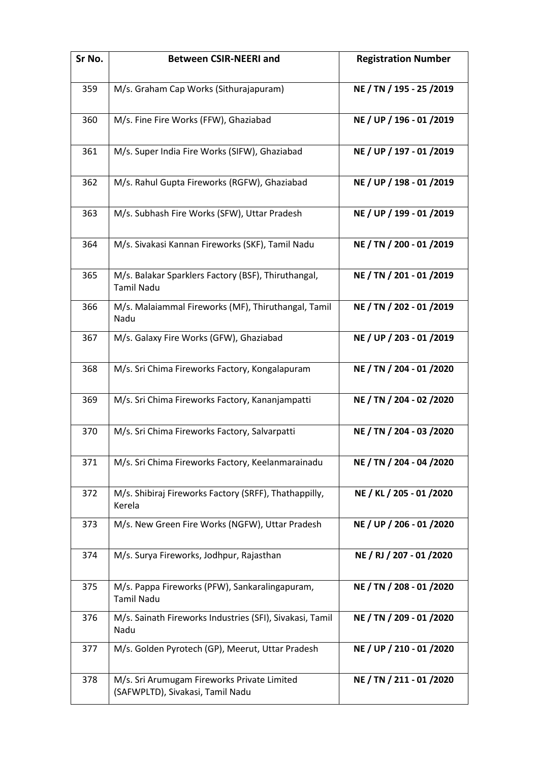| Sr No. | <b>Between CSIR-NEERI and</b>                                                   | <b>Registration Number</b> |
|--------|---------------------------------------------------------------------------------|----------------------------|
| 359    | M/s. Graham Cap Works (Sithurajapuram)                                          | NE / TN / 195 - 25 / 2019  |
| 360    | M/s. Fine Fire Works (FFW), Ghaziabad                                           | NE / UP / 196 - 01 / 2019  |
| 361    | M/s. Super India Fire Works (SIFW), Ghaziabad                                   | NE / UP / 197 - 01 /2019   |
| 362    | M/s. Rahul Gupta Fireworks (RGFW), Ghaziabad                                    | NE / UP / 198 - 01 / 2019  |
| 363    | M/s. Subhash Fire Works (SFW), Uttar Pradesh                                    | NE / UP / 199 - 01 / 2019  |
| 364    | M/s. Sivakasi Kannan Fireworks (SKF), Tamil Nadu                                | NE / TN / 200 - 01 /2019   |
| 365    | M/s. Balakar Sparklers Factory (BSF), Thiruthangal,<br><b>Tamil Nadu</b>        | NE / TN / 201 - 01 / 2019  |
| 366    | M/s. Malaiammal Fireworks (MF), Thiruthangal, Tamil<br>Nadu                     | NE / TN / 202 - 01 / 2019  |
| 367    | M/s. Galaxy Fire Works (GFW), Ghaziabad                                         | NE / UP / 203 - 01 / 2019  |
| 368    | M/s. Sri Chima Fireworks Factory, Kongalapuram                                  | NE / TN / 204 - 01 /2020   |
| 369    | M/s. Sri Chima Fireworks Factory, Kananjampatti                                 | NE / TN / 204 - 02 / 2020  |
| 370    | M/s. Sri Chima Fireworks Factory, Salvarpatti                                   | NE / TN / 204 - 03 /2020   |
| 371    | M/s. Sri Chima Fireworks Factory, Keelanmarainadu                               | NE / TN / 204 - 04 /2020   |
| 372    | M/s. Shibiraj Fireworks Factory (SRFF), Thathappilly,<br>Kerela                 | NE / KL / 205 - 01 /2020   |
| 373    | M/s. New Green Fire Works (NGFW), Uttar Pradesh                                 | NE / UP / 206 - 01 / 2020  |
| 374    | M/s. Surya Fireworks, Jodhpur, Rajasthan                                        | NE / RJ / 207 - 01 /2020   |
| 375    | M/s. Pappa Fireworks (PFW), Sankaralingapuram,<br><b>Tamil Nadu</b>             | NE / TN / 208 - 01 /2020   |
| 376    | M/s. Sainath Fireworks Industries (SFI), Sivakasi, Tamil<br>Nadu                | NE / TN / 209 - 01 /2020   |
| 377    | M/s. Golden Pyrotech (GP), Meerut, Uttar Pradesh                                | NE / UP / 210 - 01 /2020   |
| 378    | M/s. Sri Arumugam Fireworks Private Limited<br>(SAFWPLTD), Sivakasi, Tamil Nadu | NE / TN / 211 - 01 /2020   |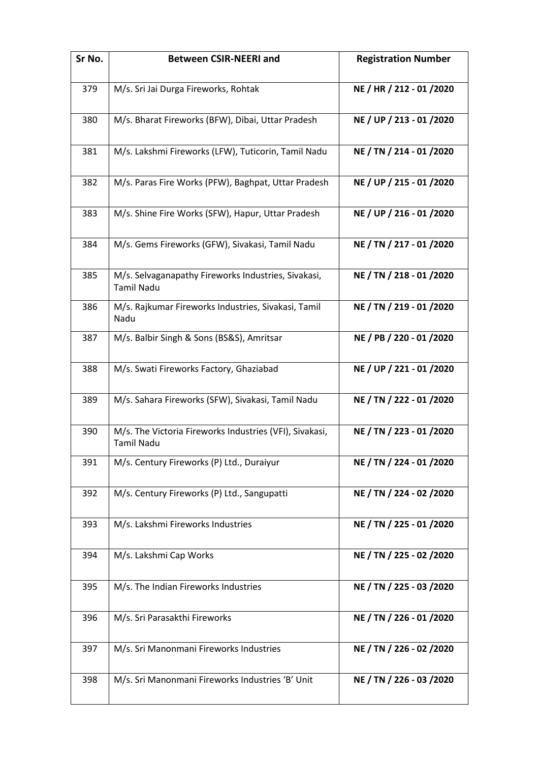| Sr No. | <b>Between CSIR-NEERI and</b>                                                | <b>Registration Number</b> |
|--------|------------------------------------------------------------------------------|----------------------------|
| 379    | M/s. Sri Jai Durga Fireworks, Rohtak                                         | NE / HR / 212 - 01 /2020   |
| 380    | M/s. Bharat Fireworks (BFW), Dibai, Uttar Pradesh                            | NE / UP / 213 - 01 /2020   |
| 381    | M/s. Lakshmi Fireworks (LFW), Tuticorin, Tamil Nadu                          | NE / TN / 214 - 01 /2020   |
| 382    | M/s. Paras Fire Works (PFW), Baghpat, Uttar Pradesh                          | NE / UP / 215 - 01 / 2020  |
| 383    | M/s. Shine Fire Works (SFW), Hapur, Uttar Pradesh                            | NE / UP / 216 - 01 / 2020  |
| 384    | M/s. Gems Fireworks (GFW), Sivakasi, Tamil Nadu                              | NE / TN / 217 - 01 /2020   |
| 385    | M/s. Selvaganapathy Fireworks Industries, Sivakasi,<br><b>Tamil Nadu</b>     | NE / TN / 218 - 01 / 2020  |
| 386    | M/s. Rajkumar Fireworks Industries, Sivakasi, Tamil<br>Nadu                  | NE / TN / 219 - 01 /2020   |
| 387    | M/s. Balbir Singh & Sons (BS&S), Amritsar                                    | NE / PB / 220 - 01 /2020   |
| 388    | M/s. Swati Fireworks Factory, Ghaziabad                                      | NE / UP / 221 - 01 /2020   |
| 389    | M/s. Sahara Fireworks (SFW), Sivakasi, Tamil Nadu                            | NE / TN / 222 - 01 /2020   |
| 390    | M/s. The Victoria Fireworks Industries (VFI), Sivakasi,<br><b>Tamil Nadu</b> | NE / TN / 223 - 01 /2020   |
| 391    | M/s. Century Fireworks (P) Ltd., Duraiyur                                    | NE / TN / 224 - 01 /2020   |
| 392    | M/s. Century Fireworks (P) Ltd., Sangupatti                                  | NE / TN / 224 - 02 / 2020  |
| 393    | M/s. Lakshmi Fireworks Industries                                            | NE / TN / 225 - 01 /2020   |
| 394    | M/s. Lakshmi Cap Works                                                       | NE / TN / 225 - 02 / 2020  |
| 395    | M/s. The Indian Fireworks Industries                                         | NE / TN / 225 - 03 /2020   |
| 396    | M/s. Sri Parasakthi Fireworks                                                | NE / TN / 226 - 01 /2020   |
| 397    | M/s. Sri Manonmani Fireworks Industries                                      | NE / TN / 226 - 02 / 2020  |
| 398    | M/s. Sri Manonmani Fireworks Industries 'B' Unit                             | NE / TN / 226 - 03 / 2020  |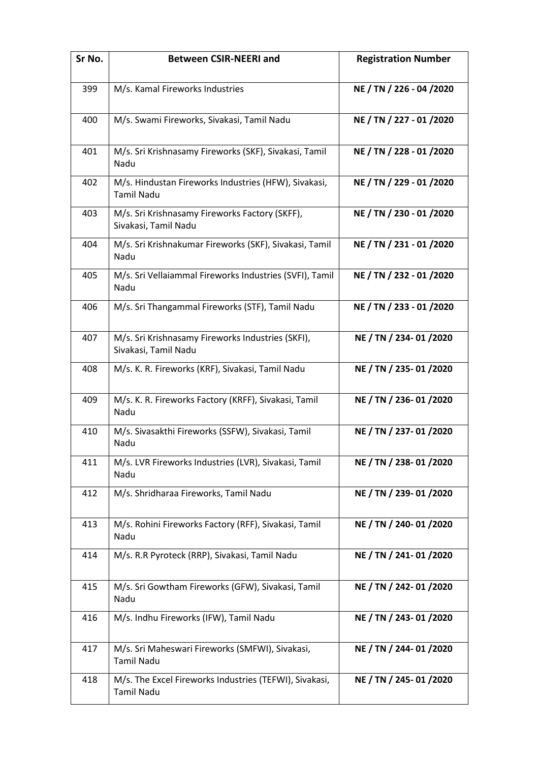| Sr No. | <b>Between CSIR-NEERI and</b>                                             | <b>Registration Number</b> |
|--------|---------------------------------------------------------------------------|----------------------------|
| 399    | M/s. Kamal Fireworks Industries                                           | NE / TN / 226 - 04 /2020   |
| 400    | M/s. Swami Fireworks, Sivakasi, Tamil Nadu                                | NE / TN / 227 - 01 /2020   |
| 401    | M/s. Sri Krishnasamy Fireworks (SKF), Sivakasi, Tamil<br>Nadu             | NE / TN / 228 - 01 /2020   |
| 402    | M/s. Hindustan Fireworks Industries (HFW), Sivakasi,<br><b>Tamil Nadu</b> | NE / TN / 229 - 01 /2020   |
| 403    | M/s. Sri Krishnasamy Fireworks Factory (SKFF),<br>Sivakasi, Tamil Nadu    | NE / TN / 230 - 01 / 2020  |
| 404    | M/s. Sri Krishnakumar Fireworks (SKF), Sivakasi, Tamil<br>Nadu            | NE / TN / 231 - 01 /2020   |
| 405    | M/s. Sri Vellaiammal Fireworks Industries (SVFI), Tamil<br>Nadu           | NE / TN / 232 - 01 /2020   |
| 406    | M/s. Sri Thangammal Fireworks (STF), Tamil Nadu                           | NE / TN / 233 - 01 /2020   |
| 407    | M/s. Sri Krishnasamy Fireworks Industries (SKFI),<br>Sivakasi, Tamil Nadu | NE / TN / 234-01 /2020     |
| 408    | M/s. K. R. Fireworks (KRF), Sivakasi, Tamil Nadu                          | NE / TN / 235-01 /2020     |
| 409    | M/s. K. R. Fireworks Factory (KRFF), Sivakasi, Tamil<br>Nadu              | NE / TN / 236-01 /2020     |
| 410    | M/s. Sivasakthi Fireworks (SSFW), Sivakasi, Tamil<br>Nadu                 | NE / TN / 237-01 /2020     |
| 411    | M/s. LVR Fireworks Industries (LVR), Sivakasi, Tamil<br>Nadu              | NE / TN / 238-01 /2020     |
| 412    | M/s. Shridharaa Fireworks, Tamil Nadu                                     | NE / TN / 239-01/2020      |
| 413    | M/s. Rohini Fireworks Factory (RFF), Sivakasi, Tamil<br>Nadu              | NE / TN / 240-01 /2020     |
| 414    | M/s. R.R Pyroteck (RRP), Sivakasi, Tamil Nadu                             | NE / TN / 241-01 /2020     |
| 415    | M/s. Sri Gowtham Fireworks (GFW), Sivakasi, Tamil<br>Nadu                 | NE / TN / 242-01 /2020     |
| 416    | M/s. Indhu Fireworks (IFW), Tamil Nadu                                    | NE / TN / 243-01 /2020     |
| 417    | M/s. Sri Maheswari Fireworks (SMFWI), Sivakasi,<br><b>Tamil Nadu</b>      | NE / TN / 244-01 /2020     |
| 418    | M/s. The Excel Fireworks Industries (TEFWI), Sivakasi,<br>Tamil Nadu      | NE / TN / 245-01 /2020     |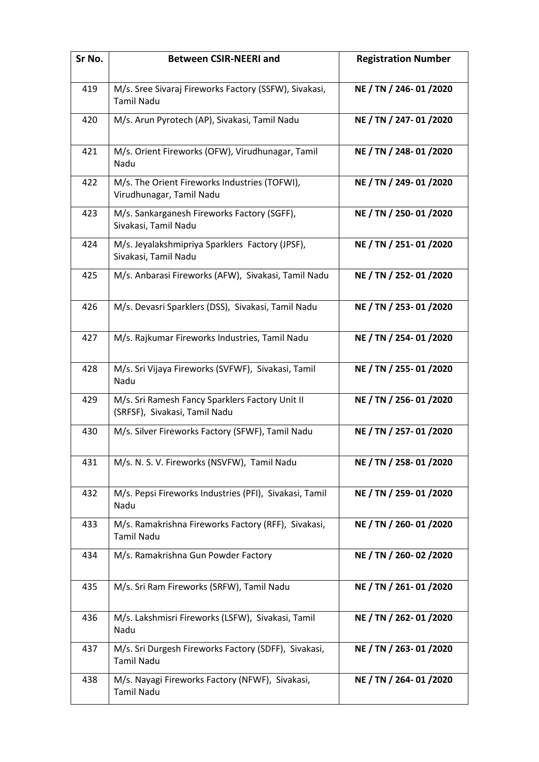| Sr No. | <b>Between CSIR-NEERI and</b>                                                    | <b>Registration Number</b> |
|--------|----------------------------------------------------------------------------------|----------------------------|
| 419    | M/s. Sree Sivaraj Fireworks Factory (SSFW), Sivakasi,<br><b>Tamil Nadu</b>       | NE / TN / 246-01 /2020     |
| 420    | M/s. Arun Pyrotech (AP), Sivakasi, Tamil Nadu                                    | NE / TN / 247-01 /2020     |
| 421    | M/s. Orient Fireworks (OFW), Virudhunagar, Tamil<br>Nadu                         | NE / TN / 248-01 /2020     |
| 422    | M/s. The Orient Fireworks Industries (TOFWI),<br>Virudhunagar, Tamil Nadu        | NE / TN / 249-01 /2020     |
| 423    | M/s. Sankarganesh Fireworks Factory (SGFF),<br>Sivakasi, Tamil Nadu              | NE / TN / 250-01 /2020     |
| 424    | M/s. Jeyalakshmipriya Sparklers Factory (JPSF),<br>Sivakasi, Tamil Nadu          | NE / TN / 251-01 /2020     |
| 425    | M/s. Anbarasi Fireworks (AFW), Sivakasi, Tamil Nadu                              | NE / TN / 252-01 /2020     |
| 426    | M/s. Devasri Sparklers (DSS), Sivakasi, Tamil Nadu                               | NE / TN / 253-01 /2020     |
| 427    | M/s. Rajkumar Fireworks Industries, Tamil Nadu                                   | NE / TN / 254-01 /2020     |
| 428    | M/s. Sri Vijaya Fireworks (SVFWF), Sivakasi, Tamil<br>Nadu                       | NE / TN / 255-01 /2020     |
| 429    | M/s. Sri Ramesh Fancy Sparklers Factory Unit II<br>(SRFSF), Sivakasi, Tamil Nadu | NE / TN / 256-01 /2020     |
| 430    | M/s. Silver Fireworks Factory (SFWF), Tamil Nadu                                 | NE / TN / 257-01 /2020     |
| 431    | M/s. N. S. V. Fireworks (NSVFW), Tamil Nadu                                      | NE / TN / 258-01 /2020     |
| 432    | M/s. Pepsi Fireworks Industries (PFI), Sivakasi, Tamil<br>Nadu                   | NE / TN / 259-01 /2020     |
| 433    | M/s. Ramakrishna Fireworks Factory (RFF), Sivakasi,<br><b>Tamil Nadu</b>         | NE / TN / 260-01 /2020     |
| 434    | M/s. Ramakrishna Gun Powder Factory                                              | NE / TN / 260-02 / 2020    |
| 435    | M/s. Sri Ram Fireworks (SRFW), Tamil Nadu                                        | NE / TN / 261-01 /2020     |
| 436    | M/s. Lakshmisri Fireworks (LSFW), Sivakasi, Tamil<br>Nadu                        | NE / TN / 262-01 /2020     |
| 437    | M/s. Sri Durgesh Fireworks Factory (SDFF), Sivakasi,<br><b>Tamil Nadu</b>        | NE / TN / 263-01 /2020     |
| 438    | M/s. Nayagi Fireworks Factory (NFWF), Sivakasi,<br><b>Tamil Nadu</b>             | NE / TN / 264-01 /2020     |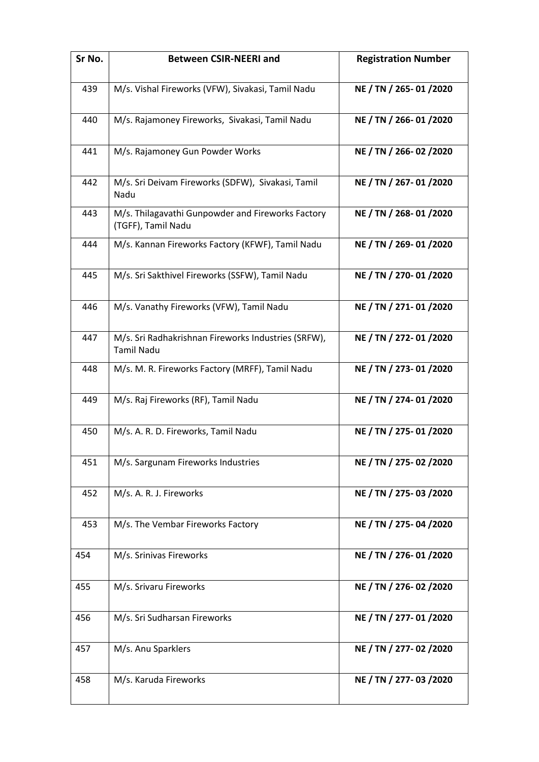| Sr No. | <b>Between CSIR-NEERI and</b>                                            | <b>Registration Number</b> |
|--------|--------------------------------------------------------------------------|----------------------------|
| 439    | M/s. Vishal Fireworks (VFW), Sivakasi, Tamil Nadu                        | NE / TN / 265-01/2020      |
| 440    | M/s. Rajamoney Fireworks, Sivakasi, Tamil Nadu                           | NE / TN / 266-01 /2020     |
| 441    | M/s. Rajamoney Gun Powder Works                                          | NE / TN / 266-02 /2020     |
| 442    | M/s. Sri Deivam Fireworks (SDFW), Sivakasi, Tamil<br>Nadu                | NE / TN / 267-01 /2020     |
| 443    | M/s. Thilagavathi Gunpowder and Fireworks Factory<br>(TGFF), Tamil Nadu  | NE / TN / 268-01 /2020     |
| 444    | M/s. Kannan Fireworks Factory (KFWF), Tamil Nadu                         | NE / TN / 269-01 /2020     |
| 445    | M/s. Sri Sakthivel Fireworks (SSFW), Tamil Nadu                          | NE / TN / 270-01 /2020     |
| 446    | M/s. Vanathy Fireworks (VFW), Tamil Nadu                                 | NE / TN / 271-01 /2020     |
| 447    | M/s. Sri Radhakrishnan Fireworks Industries (SRFW),<br><b>Tamil Nadu</b> | NE / TN / 272-01 /2020     |
| 448    | M/s. M. R. Fireworks Factory (MRFF), Tamil Nadu                          | NE / TN / 273-01 /2020     |
| 449    | M/s. Raj Fireworks (RF), Tamil Nadu                                      | NE / TN / 274-01 /2020     |
| 450    | M/s. A. R. D. Fireworks, Tamil Nadu                                      | NE / TN / 275-01 /2020     |
| 451    | M/s. Sargunam Fireworks Industries                                       | NE / TN / 275-02 /2020     |
| 452    | M/s. A. R. J. Fireworks                                                  | NE / TN / 275-03 /2020     |
| 453    | M/s. The Vembar Fireworks Factory                                        | NE / TN / 275-04 /2020     |
| 454    | M/s. Srinivas Fireworks                                                  | NE / TN / 276-01 /2020     |
| 455    | M/s. Srivaru Fireworks                                                   | NE / TN / 276-02 /2020     |
| 456    | M/s. Sri Sudharsan Fireworks                                             | NE / TN / 277-01 /2020     |
| 457    | M/s. Anu Sparklers                                                       | NE / TN / 277-02 /2020     |
| 458    | M/s. Karuda Fireworks                                                    | NE / TN / 277-03 /2020     |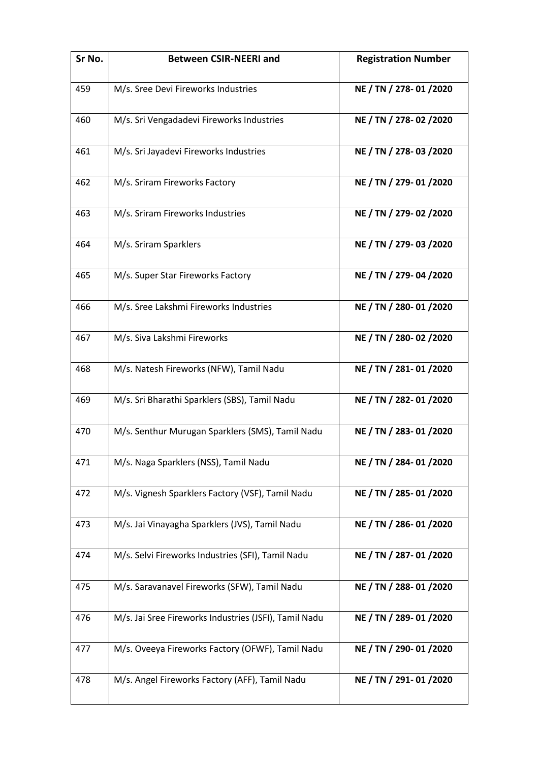| Sr No. | <b>Between CSIR-NEERI and</b>                         | <b>Registration Number</b> |
|--------|-------------------------------------------------------|----------------------------|
| 459    | M/s. Sree Devi Fireworks Industries                   | NE / TN / 278-01 /2020     |
| 460    | M/s. Sri Vengadadevi Fireworks Industries             | NE / TN / 278-02 /2020     |
| 461    | M/s. Sri Jayadevi Fireworks Industries                | NE / TN / 278-03 /2020     |
| 462    | M/s. Sriram Fireworks Factory                         | NE / TN / 279-01 /2020     |
| 463    | M/s. Sriram Fireworks Industries                      | NE / TN / 279-02 /2020     |
| 464    | M/s. Sriram Sparklers                                 | NE / TN / 279-03 /2020     |
| 465    | M/s. Super Star Fireworks Factory                     | NE / TN / 279-04 /2020     |
| 466    | M/s. Sree Lakshmi Fireworks Industries                | NE / TN / 280-01 /2020     |
| 467    | M/s. Siva Lakshmi Fireworks                           | NE / TN / 280-02 /2020     |
| 468    | M/s. Natesh Fireworks (NFW), Tamil Nadu               | NE / TN / 281-01 /2020     |
| 469    | M/s. Sri Bharathi Sparklers (SBS), Tamil Nadu         | NE / TN / 282-01 /2020     |
| 470    | M/s. Senthur Murugan Sparklers (SMS), Tamil Nadu      | NE / TN / 283-01 /2020     |
| 471    | M/s. Naga Sparklers (NSS), Tamil Nadu                 | NE / TN / 284-01 /2020     |
| 472    | M/s. Vignesh Sparklers Factory (VSF), Tamil Nadu      | NE / TN / 285-01 /2020     |
| 473    | M/s. Jai Vinayagha Sparklers (JVS), Tamil Nadu        | NE / TN / 286-01 /2020     |
| 474    | M/s. Selvi Fireworks Industries (SFI), Tamil Nadu     | NE / TN / 287-01 /2020     |
| 475    | M/s. Saravanavel Fireworks (SFW), Tamil Nadu          | NE / TN / 288-01 /2020     |
| 476    | M/s. Jai Sree Fireworks Industries (JSFI), Tamil Nadu | NE / TN / 289-01 /2020     |
| 477    | M/s. Oveeya Fireworks Factory (OFWF), Tamil Nadu      | NE / TN / 290-01/2020      |
| 478    | M/s. Angel Fireworks Factory (AFF), Tamil Nadu        | NE / TN / 291-01 /2020     |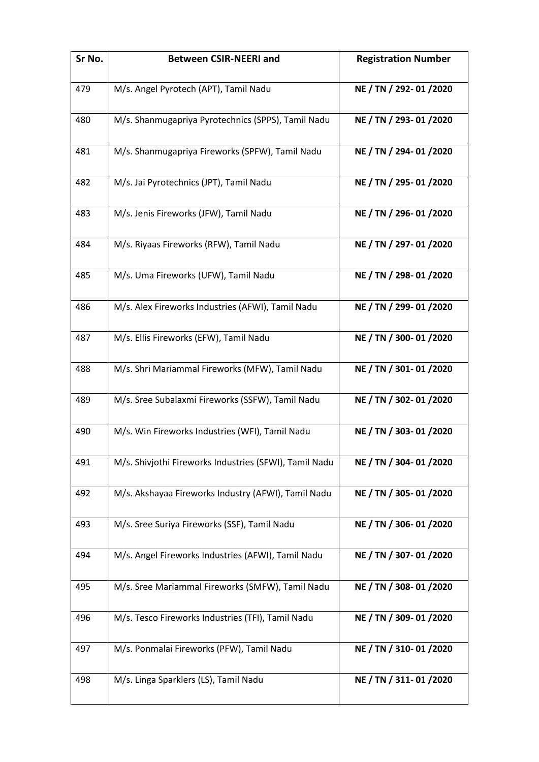| Sr No. | <b>Between CSIR-NEERI and</b>                          | <b>Registration Number</b> |
|--------|--------------------------------------------------------|----------------------------|
| 479    | M/s. Angel Pyrotech (APT), Tamil Nadu                  | NE / TN / 292-01 /2020     |
| 480    | M/s. Shanmugapriya Pyrotechnics (SPPS), Tamil Nadu     | NE / TN / 293-01 /2020     |
| 481    | M/s. Shanmugapriya Fireworks (SPFW), Tamil Nadu        | NE / TN / 294-01 /2020     |
| 482    | M/s. Jai Pyrotechnics (JPT), Tamil Nadu                | NE / TN / 295-01 /2020     |
| 483    | M/s. Jenis Fireworks (JFW), Tamil Nadu                 | NE / TN / 296-01 /2020     |
| 484    | M/s. Riyaas Fireworks (RFW), Tamil Nadu                | NE / TN / 297-01 /2020     |
| 485    | M/s. Uma Fireworks (UFW), Tamil Nadu                   | NE / TN / 298-01 /2020     |
| 486    | M/s. Alex Fireworks Industries (AFWI), Tamil Nadu      | NE / TN / 299-01 /2020     |
| 487    | M/s. Ellis Fireworks (EFW), Tamil Nadu                 | NE / TN / 300-01/2020      |
| 488    | M/s. Shri Mariammal Fireworks (MFW), Tamil Nadu        | NE / TN / 301-01 /2020     |
| 489    | M/s. Sree Subalaxmi Fireworks (SSFW), Tamil Nadu       | NE / TN / 302-01 /2020     |
| 490    | M/s. Win Fireworks Industries (WFI), Tamil Nadu        | NE / TN / 303-01 /2020     |
| 491    | M/s. Shivjothi Fireworks Industries (SFWI), Tamil Nadu | NE / TN / 304-01 /2020     |
| 492    | M/s. Akshayaa Fireworks Industry (AFWI), Tamil Nadu    | NE / TN / 305-01/2020      |
| 493    | M/s. Sree Suriya Fireworks (SSF), Tamil Nadu           | NE / TN / 306-01/2020      |
| 494    | M/s. Angel Fireworks Industries (AFWI), Tamil Nadu     | NE / TN / 307-01 /2020     |
| 495    | M/s. Sree Mariammal Fireworks (SMFW), Tamil Nadu       | NE / TN / 308-01 /2020     |
| 496    | M/s. Tesco Fireworks Industries (TFI), Tamil Nadu      | NE / TN / 309-01 /2020     |
| 497    | M/s. Ponmalai Fireworks (PFW), Tamil Nadu              | NE / TN / 310-01 /2020     |
| 498    | M/s. Linga Sparklers (LS), Tamil Nadu                  | NE / TN / 311-01 /2020     |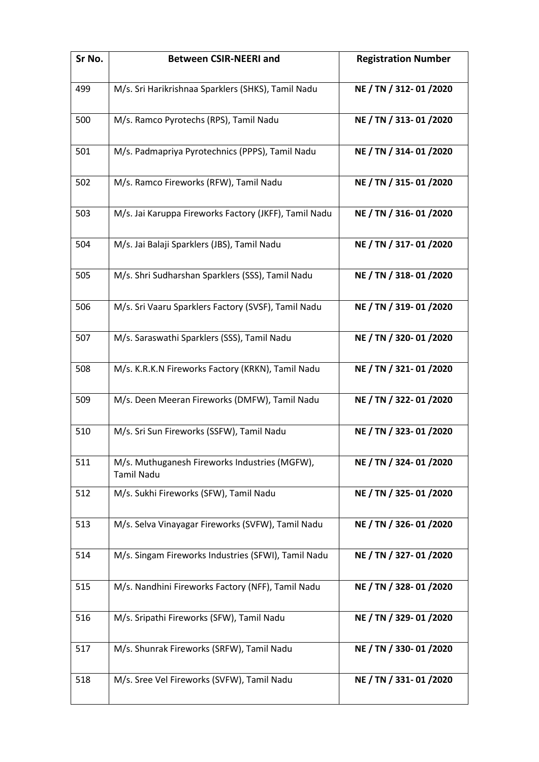| Sr No. | <b>Between CSIR-NEERI and</b>                                      | <b>Registration Number</b> |
|--------|--------------------------------------------------------------------|----------------------------|
| 499    | M/s. Sri Harikrishnaa Sparklers (SHKS), Tamil Nadu                 | NE / TN / 312-01 /2020     |
| 500    | M/s. Ramco Pyrotechs (RPS), Tamil Nadu                             | NE / TN / 313-01 /2020     |
| 501    | M/s. Padmapriya Pyrotechnics (PPPS), Tamil Nadu                    | NE / TN / 314-01 /2020     |
| 502    | M/s. Ramco Fireworks (RFW), Tamil Nadu                             | NE / TN / 315-01 /2020     |
| 503    | M/s. Jai Karuppa Fireworks Factory (JKFF), Tamil Nadu              | NE / TN / 316-01 /2020     |
| 504    | M/s. Jai Balaji Sparklers (JBS), Tamil Nadu                        | NE / TN / 317-01 /2020     |
| 505    | M/s. Shri Sudharshan Sparklers (SSS), Tamil Nadu                   | NE / TN / 318-01 /2020     |
| 506    | M/s. Sri Vaaru Sparklers Factory (SVSF), Tamil Nadu                | NE / TN / 319-01 /2020     |
| 507    | M/s. Saraswathi Sparklers (SSS), Tamil Nadu                        | NE / TN / 320-01/2020      |
| 508    | M/s. K.R.K.N Fireworks Factory (KRKN), Tamil Nadu                  | NE / TN / 321-01 /2020     |
| 509    | M/s. Deen Meeran Fireworks (DMFW), Tamil Nadu                      | NE / TN / 322-01 /2020     |
| 510    | M/s. Sri Sun Fireworks (SSFW), Tamil Nadu                          | NE / TN / 323-01 /2020     |
| 511    | M/s. Muthuganesh Fireworks Industries (MGFW),<br><b>Tamil Nadu</b> | NE / TN / 324-01 /2020     |
| 512    | M/s. Sukhi Fireworks (SFW), Tamil Nadu                             | NE / TN / 325-01/2020      |
| 513    | M/s. Selva Vinayagar Fireworks (SVFW), Tamil Nadu                  | NE / TN / 326-01 /2020     |
| 514    | M/s. Singam Fireworks Industries (SFWI), Tamil Nadu                | NE / TN / 327-01 /2020     |
| 515    | M/s. Nandhini Fireworks Factory (NFF), Tamil Nadu                  | NE / TN / 328-01 /2020     |
| 516    | M/s. Sripathi Fireworks (SFW), Tamil Nadu                          | NE / TN / 329-01 /2020     |
| 517    | M/s. Shunrak Fireworks (SRFW), Tamil Nadu                          | NE / TN / 330-01 /2020     |
| 518    | M/s. Sree Vel Fireworks (SVFW), Tamil Nadu                         | NE / TN / 331-01 /2020     |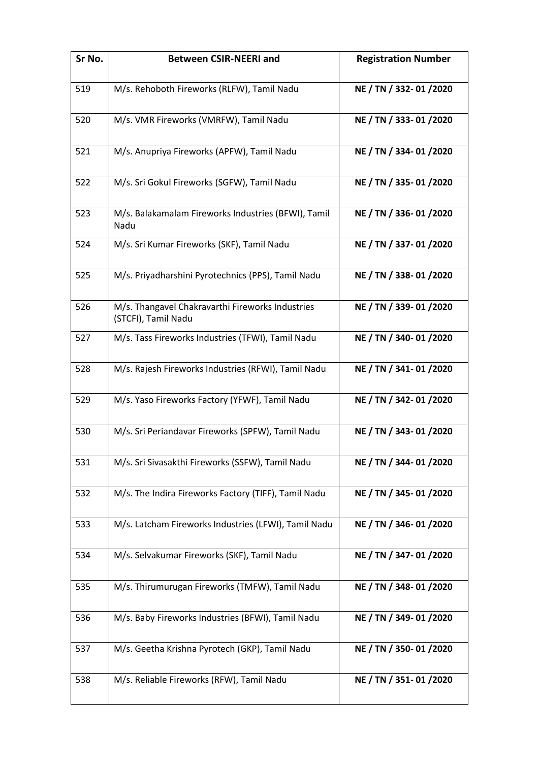| Sr No. | <b>Between CSIR-NEERI and</b>                                           | <b>Registration Number</b> |
|--------|-------------------------------------------------------------------------|----------------------------|
| 519    | M/s. Rehoboth Fireworks (RLFW), Tamil Nadu                              | NE / TN / 332-01 /2020     |
| 520    | M/s. VMR Fireworks (VMRFW), Tamil Nadu                                  | NE / TN / 333-01 /2020     |
| 521    | M/s. Anupriya Fireworks (APFW), Tamil Nadu                              | NE / TN / 334-01 /2020     |
| 522    | M/s. Sri Gokul Fireworks (SGFW), Tamil Nadu                             | NE / TN / 335-01 /2020     |
| 523    | M/s. Balakamalam Fireworks Industries (BFWI), Tamil<br>Nadu             | NE / TN / 336-01 /2020     |
| 524    | M/s. Sri Kumar Fireworks (SKF), Tamil Nadu                              | NE / TN / 337-01 /2020     |
| 525    | M/s. Priyadharshini Pyrotechnics (PPS), Tamil Nadu                      | NE / TN / 338-01 /2020     |
| 526    | M/s. Thangavel Chakravarthi Fireworks Industries<br>(STCFI), Tamil Nadu | NE / TN / 339-01 /2020     |
| 527    | M/s. Tass Fireworks Industries (TFWI), Tamil Nadu                       | NE / TN / 340-01/2020      |
| 528    | M/s. Rajesh Fireworks Industries (RFWI), Tamil Nadu                     | NE / TN / 341-01 /2020     |
| 529    | M/s. Yaso Fireworks Factory (YFWF), Tamil Nadu                          | NE / TN / 342-01 /2020     |
| 530    | M/s. Sri Periandavar Fireworks (SPFW), Tamil Nadu                       | NE / TN / 343-01 /2020     |
| 531    | M/s. Sri Sivasakthi Fireworks (SSFW), Tamil Nadu                        | NE / TN / 344-01 /2020     |
| 532    | M/s. The Indira Fireworks Factory (TIFF), Tamil Nadu                    | NE / TN / 345-01 /2020     |
| 533    | M/s. Latcham Fireworks Industries (LFWI), Tamil Nadu                    | NE / TN / 346-01 /2020     |
| 534    | M/s. Selvakumar Fireworks (SKF), Tamil Nadu                             | NE / TN / 347-01 /2020     |
| 535    | M/s. Thirumurugan Fireworks (TMFW), Tamil Nadu                          | NE / TN / 348-01 /2020     |
| 536    | M/s. Baby Fireworks Industries (BFWI), Tamil Nadu                       | NE / TN / 349-01 /2020     |
| 537    | M/s. Geetha Krishna Pyrotech (GKP), Tamil Nadu                          | NE / TN / 350-01/2020      |
| 538    | M/s. Reliable Fireworks (RFW), Tamil Nadu                               | NE / TN / 351-01 /2020     |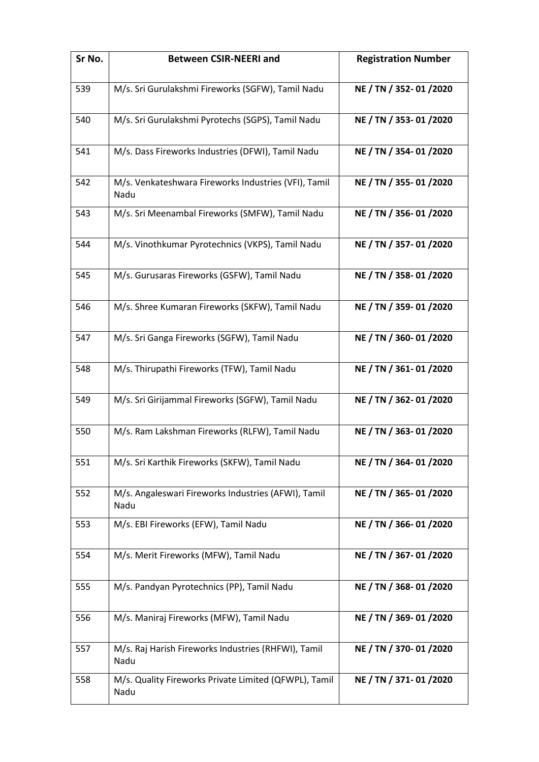| Sr No. | <b>Between CSIR-NEERI and</b>                                 | <b>Registration Number</b> |
|--------|---------------------------------------------------------------|----------------------------|
| 539    | M/s. Sri Gurulakshmi Fireworks (SGFW), Tamil Nadu             | NE / TN / 352-01/2020      |
| 540    | M/s. Sri Gurulakshmi Pyrotechs (SGPS), Tamil Nadu             | NE / TN / 353-01 /2020     |
| 541    | M/s. Dass Fireworks Industries (DFWI), Tamil Nadu             | NE / TN / 354-01 /2020     |
| 542    | M/s. Venkateshwara Fireworks Industries (VFI), Tamil<br>Nadu  | NE / TN / 355-01 /2020     |
| 543    | M/s. Sri Meenambal Fireworks (SMFW), Tamil Nadu               | NE / TN / 356-01 /2020     |
| 544    | M/s. Vinothkumar Pyrotechnics (VKPS), Tamil Nadu              | NE / TN / 357-01 /2020     |
| 545    | M/s. Gurusaras Fireworks (GSFW), Tamil Nadu                   | NE / TN / 358-01 /2020     |
| 546    | M/s. Shree Kumaran Fireworks (SKFW), Tamil Nadu               | NE / TN / 359-01 /2020     |
| 547    | M/s. Sri Ganga Fireworks (SGFW), Tamil Nadu                   | NE / TN / 360-01 /2020     |
| 548    | M/s. Thirupathi Fireworks (TFW), Tamil Nadu                   | NE / TN / 361-01 /2020     |
| 549    | M/s. Sri Girijammal Fireworks (SGFW), Tamil Nadu              | NE / TN / 362-01 /2020     |
| 550    | M/s. Ram Lakshman Fireworks (RLFW), Tamil Nadu                | NE / TN / 363-01 /2020     |
| 551    | M/s. Sri Karthik Fireworks (SKFW), Tamil Nadu                 | NE / TN / 364-01 /2020     |
| 552    | M/s. Angaleswari Fireworks Industries (AFWI), Tamil<br>Nadu   | NE / TN / 365-01/2020      |
| 553    | M/s. EBI Fireworks (EFW), Tamil Nadu                          | NE / TN / 366-01 /2020     |
| 554    | M/s. Merit Fireworks (MFW), Tamil Nadu                        | NE / TN / 367-01 /2020     |
| 555    | M/s. Pandyan Pyrotechnics (PP), Tamil Nadu                    | NE / TN / 368-01 /2020     |
| 556    | M/s. Maniraj Fireworks (MFW), Tamil Nadu                      | NE / TN / 369-01/2020      |
| 557    | M/s. Raj Harish Fireworks Industries (RHFWI), Tamil<br>Nadu   | NE / TN / 370-01 /2020     |
| 558    | M/s. Quality Fireworks Private Limited (QFWPL), Tamil<br>Nadu | NE / TN / 371-01 /2020     |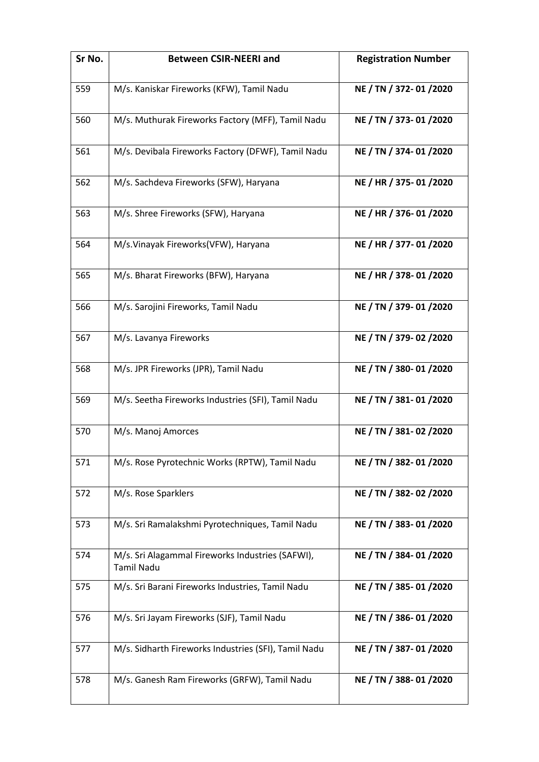| Sr No. | <b>Between CSIR-NEERI and</b>                                         | <b>Registration Number</b> |
|--------|-----------------------------------------------------------------------|----------------------------|
| 559    | M/s. Kaniskar Fireworks (KFW), Tamil Nadu                             | NE / TN / 372-01 /2020     |
| 560    | M/s. Muthurak Fireworks Factory (MFF), Tamil Nadu                     | NE / TN / 373-01 /2020     |
| 561    | M/s. Devibala Fireworks Factory (DFWF), Tamil Nadu                    | NE / TN / 374-01 /2020     |
| 562    | M/s. Sachdeva Fireworks (SFW), Haryana                                | NE / HR / 375-01 /2020     |
| 563    | M/s. Shree Fireworks (SFW), Haryana                                   | NE / HR / 376-01 /2020     |
| 564    | M/s.Vinayak Fireworks(VFW), Haryana                                   | NE / HR / 377-01 /2020     |
| 565    | M/s. Bharat Fireworks (BFW), Haryana                                  | NE / HR / 378-01 /2020     |
| 566    | M/s. Sarojini Fireworks, Tamil Nadu                                   | NE / TN / 379-01 /2020     |
| 567    | M/s. Lavanya Fireworks                                                | NE / TN / 379-02 /2020     |
| 568    | M/s. JPR Fireworks (JPR), Tamil Nadu                                  | NE / TN / 380-01 /2020     |
| 569    | M/s. Seetha Fireworks Industries (SFI), Tamil Nadu                    | NE / TN / 381-01 /2020     |
| 570    | M/s. Manoj Amorces                                                    | NE / TN / 381-02 /2020     |
| 571    | M/s. Rose Pyrotechnic Works (RPTW), Tamil Nadu                        | NE / TN / 382-01 /2020     |
| 572    | M/s. Rose Sparklers                                                   | NE / TN / 382-02 /2020     |
| 573    | M/s. Sri Ramalakshmi Pyrotechniques, Tamil Nadu                       | NE / TN / 383-01 /2020     |
| 574    | M/s. Sri Alagammal Fireworks Industries (SAFWI),<br><b>Tamil Nadu</b> | NE / TN / 384-01 /2020     |
| 575    | M/s. Sri Barani Fireworks Industries, Tamil Nadu                      | NE / TN / 385-01 /2020     |
| 576    | M/s. Sri Jayam Fireworks (SJF), Tamil Nadu                            | NE / TN / 386-01 /2020     |
| 577    | M/s. Sidharth Fireworks Industries (SFI), Tamil Nadu                  | NE / TN / 387-01 /2020     |
| 578    | M/s. Ganesh Ram Fireworks (GRFW), Tamil Nadu                          | NE / TN / 388-01 /2020     |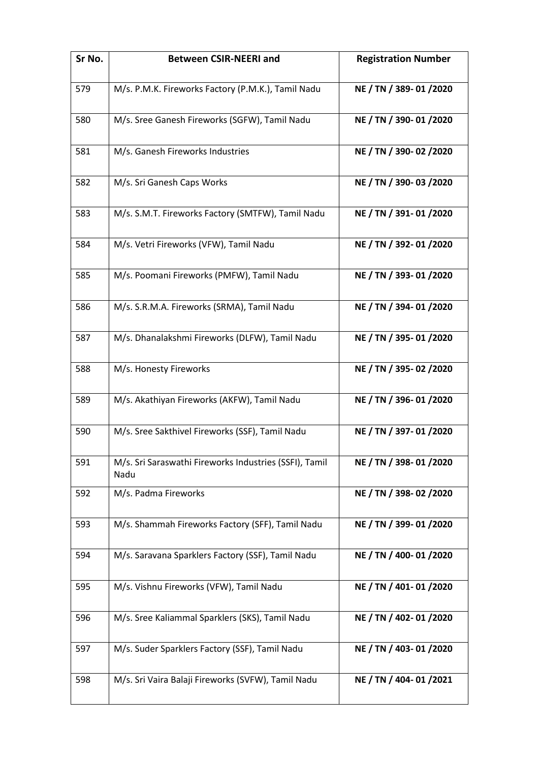| Sr No. | <b>Between CSIR-NEERI and</b>                                  | <b>Registration Number</b> |
|--------|----------------------------------------------------------------|----------------------------|
| 579    | M/s. P.M.K. Fireworks Factory (P.M.K.), Tamil Nadu             | NE / TN / 389-01 /2020     |
| 580    | M/s. Sree Ganesh Fireworks (SGFW), Tamil Nadu                  | NE / TN / 390-01/2020      |
| 581    | M/s. Ganesh Fireworks Industries                               | NE / TN / 390-02 /2020     |
| 582    | M/s. Sri Ganesh Caps Works                                     | NE / TN / 390-03 /2020     |
| 583    | M/s. S.M.T. Fireworks Factory (SMTFW), Tamil Nadu              | NE / TN / 391-01 /2020     |
| 584    | M/s. Vetri Fireworks (VFW), Tamil Nadu                         | NE / TN / 392-01 /2020     |
| 585    | M/s. Poomani Fireworks (PMFW), Tamil Nadu                      | NE / TN / 393-01 /2020     |
| 586    | M/s. S.R.M.A. Fireworks (SRMA), Tamil Nadu                     | NE / TN / 394-01 /2020     |
| 587    | M/s. Dhanalakshmi Fireworks (DLFW), Tamil Nadu                 | NE / TN / 395-01 /2020     |
| 588    | M/s. Honesty Fireworks                                         | NE / TN / 395-02 /2020     |
| 589    | M/s. Akathiyan Fireworks (AKFW), Tamil Nadu                    | NE / TN / 396-01 /2020     |
| 590    | M/s. Sree Sakthivel Fireworks (SSF), Tamil Nadu                | NE / TN / 397-01 /2020     |
| 591    | M/s. Sri Saraswathi Fireworks Industries (SSFI), Tamil<br>Nadu | NE / TN / 398-01 /2020     |
| 592    | M/s. Padma Fireworks                                           | NE / TN / 398-02 /2020     |
| 593    | M/s. Shammah Fireworks Factory (SFF), Tamil Nadu               | NE / TN / 399-01 /2020     |
| 594    | M/s. Saravana Sparklers Factory (SSF), Tamil Nadu              | NE / TN / 400-01 /2020     |
| 595    | M/s. Vishnu Fireworks (VFW), Tamil Nadu                        | NE / TN / 401-01 /2020     |
| 596    | M/s. Sree Kaliammal Sparklers (SKS), Tamil Nadu                | NE / TN / 402-01 /2020     |
| 597    | M/s. Suder Sparklers Factory (SSF), Tamil Nadu                 | NE / TN / 403-01 /2020     |
| 598    | M/s. Sri Vaira Balaji Fireworks (SVFW), Tamil Nadu             | NE / TN / 404-01 /2021     |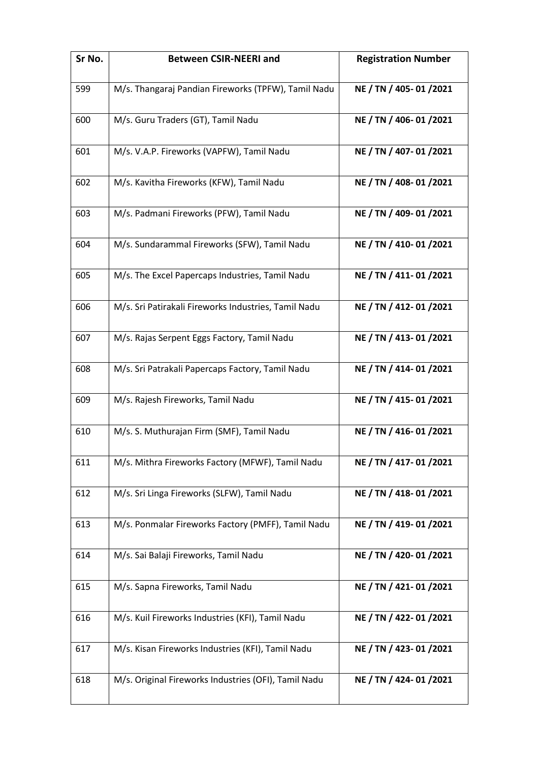| Sr No. | <b>Between CSIR-NEERI and</b>                        | <b>Registration Number</b> |
|--------|------------------------------------------------------|----------------------------|
| 599    | M/s. Thangaraj Pandian Fireworks (TPFW), Tamil Nadu  | NE / TN / 405-01/2021      |
| 600    | M/s. Guru Traders (GT), Tamil Nadu                   | NE / TN / 406-01/2021      |
| 601    | M/s. V.A.P. Fireworks (VAPFW), Tamil Nadu            | NE / TN / 407-01/2021      |
| 602    | M/s. Kavitha Fireworks (KFW), Tamil Nadu             | NE / TN / 408-01 /2021     |
| 603    | M/s. Padmani Fireworks (PFW), Tamil Nadu             | NE / TN / 409-01 /2021     |
| 604    | M/s. Sundarammal Fireworks (SFW), Tamil Nadu         | NE / TN / 410-01 /2021     |
| 605    | M/s. The Excel Papercaps Industries, Tamil Nadu      | NE / TN / 411-01 /2021     |
| 606    | M/s. Sri Patirakali Fireworks Industries, Tamil Nadu | NE / TN / 412-01 /2021     |
| 607    | M/s. Rajas Serpent Eggs Factory, Tamil Nadu          | NE / TN / 413-01 /2021     |
| 608    | M/s. Sri Patrakali Papercaps Factory, Tamil Nadu     | NE / TN / 414-01 /2021     |
| 609    | M/s. Rajesh Fireworks, Tamil Nadu                    | NE / TN / 415-01 /2021     |
| 610    | M/s. S. Muthurajan Firm (SMF), Tamil Nadu            | NE / TN / 416-01 /2021     |
| 611    | M/s. Mithra Fireworks Factory (MFWF), Tamil Nadu     | NE / TN / 417-01/2021      |
| 612    | M/s. Sri Linga Fireworks (SLFW), Tamil Nadu          | NE / TN / 418-01 /2021     |
| 613    | M/s. Ponmalar Fireworks Factory (PMFF), Tamil Nadu   | NE / TN / 419-01 /2021     |
| 614    | M/s. Sai Balaji Fireworks, Tamil Nadu                | NE / TN / 420-01/2021      |
| 615    | M/s. Sapna Fireworks, Tamil Nadu                     | NE / TN / 421-01 /2021     |
| 616    | M/s. Kuil Fireworks Industries (KFI), Tamil Nadu     | NE / TN / 422-01 /2021     |
| 617    | M/s. Kisan Fireworks Industries (KFI), Tamil Nadu    | NE / TN / 423-01/2021      |
| 618    | M/s. Original Fireworks Industries (OFI), Tamil Nadu | NE / TN / 424-01/2021      |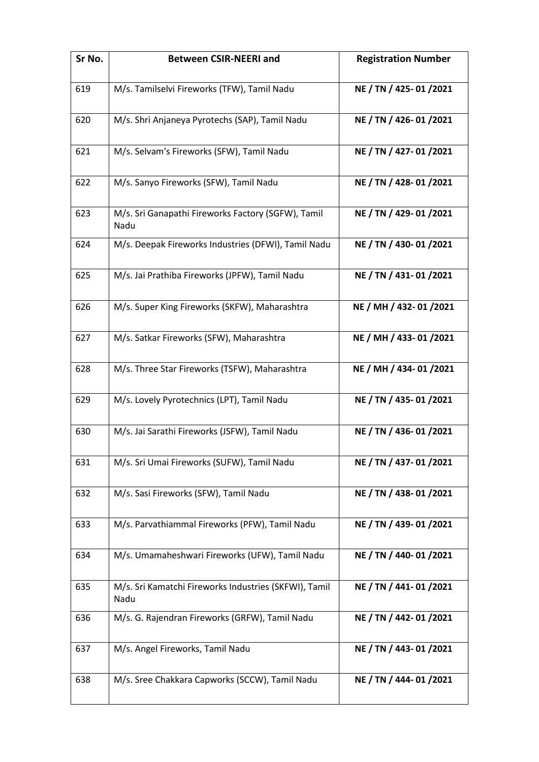| Sr No. | <b>Between CSIR-NEERI and</b>                                 | <b>Registration Number</b> |
|--------|---------------------------------------------------------------|----------------------------|
| 619    | M/s. Tamilselvi Fireworks (TFW), Tamil Nadu                   | NE / TN / 425-01/2021      |
| 620    | M/s. Shri Anjaneya Pyrotechs (SAP), Tamil Nadu                | NE / TN / 426-01 /2021     |
| 621    | M/s. Selvam's Fireworks (SFW), Tamil Nadu                     | NE / TN / 427-01 /2021     |
| 622    | M/s. Sanyo Fireworks (SFW), Tamil Nadu                        | NE / TN / 428-01 /2021     |
| 623    | M/s. Sri Ganapathi Fireworks Factory (SGFW), Tamil<br>Nadu    | NE / TN / 429-01 /2021     |
| 624    | M/s. Deepak Fireworks Industries (DFWI), Tamil Nadu           | NE / TN / 430-01 /2021     |
| 625    | M/s. Jai Prathiba Fireworks (JPFW), Tamil Nadu                | NE / TN / 431-01 /2021     |
| 626    | M/s. Super King Fireworks (SKFW), Maharashtra                 | NE / MH / 432-01/2021      |
| 627    | M/s. Satkar Fireworks (SFW), Maharashtra                      | NE / MH / 433-01/2021      |
| 628    | M/s. Three Star Fireworks (TSFW), Maharashtra                 | NE / MH / 434-01/2021      |
| 629    | M/s. Lovely Pyrotechnics (LPT), Tamil Nadu                    | NE / TN / 435-01 /2021     |
| 630    | M/s. Jai Sarathi Fireworks (JSFW), Tamil Nadu                 | NE / TN / 436-01 /2021     |
| 631    | M/s. Sri Umai Fireworks (SUFW), Tamil Nadu                    | NE / TN / 437-01 /2021     |
| 632    | M/s. Sasi Fireworks (SFW), Tamil Nadu                         | NE / TN / 438-01/2021      |
| 633    | M/s. Parvathiammal Fireworks (PFW), Tamil Nadu                | NE / TN / 439-01/2021      |
| 634    | M/s. Umamaheshwari Fireworks (UFW), Tamil Nadu                | NE / TN / 440-01/2021      |
| 635    | M/s. Sri Kamatchi Fireworks Industries (SKFWI), Tamil<br>Nadu | NE / TN / 441-01 /2021     |
| 636    | M/s. G. Rajendran Fireworks (GRFW), Tamil Nadu                | NE / TN / 442-01 /2021     |
| 637    | M/s. Angel Fireworks, Tamil Nadu                              | NE / TN / 443-01/2021      |
| 638    | M/s. Sree Chakkara Capworks (SCCW), Tamil Nadu                | NE / TN / 444-01/2021      |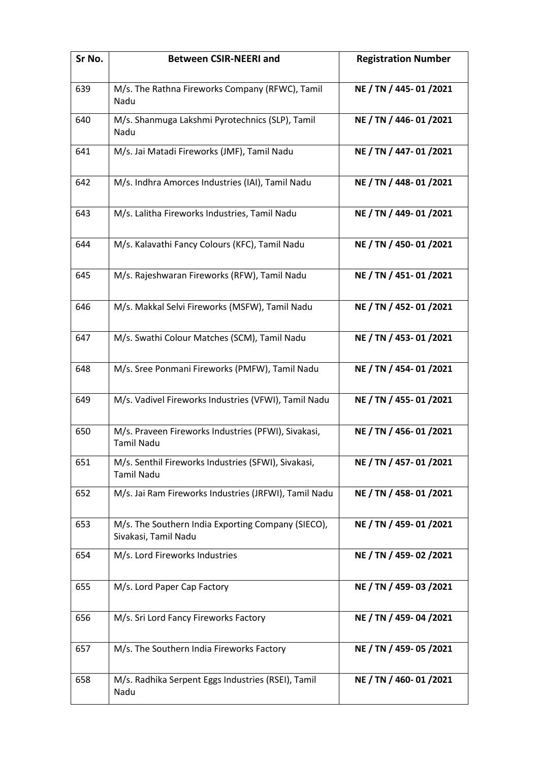| Sr No. | <b>Between CSIR-NEERI and</b>                                              | <b>Registration Number</b> |
|--------|----------------------------------------------------------------------------|----------------------------|
| 639    | M/s. The Rathna Fireworks Company (RFWC), Tamil<br>Nadu                    | NE / TN / 445-01/2021      |
| 640    | M/s. Shanmuga Lakshmi Pyrotechnics (SLP), Tamil<br>Nadu                    | NE / TN / 446-01 /2021     |
| 641    | M/s. Jai Matadi Fireworks (JMF), Tamil Nadu                                | NE / TN / 447-01/2021      |
| 642    | M/s. Indhra Amorces Industries (IAI), Tamil Nadu                           | NE / TN / 448-01 /2021     |
| 643    | M/s. Lalitha Fireworks Industries, Tamil Nadu                              | NE / TN / 449-01 /2021     |
| 644    | M/s. Kalavathi Fancy Colours (KFC), Tamil Nadu                             | NE / TN / 450-01 /2021     |
| 645    | M/s. Rajeshwaran Fireworks (RFW), Tamil Nadu                               | NE / TN / 451-01 /2021     |
| 646    | M/s. Makkal Selvi Fireworks (MSFW), Tamil Nadu                             | NE / TN / 452-01 /2021     |
| 647    | M/s. Swathi Colour Matches (SCM), Tamil Nadu                               | NE / TN / 453-01 /2021     |
| 648    | M/s. Sree Ponmani Fireworks (PMFW), Tamil Nadu                             | NE / TN / 454-01 /2021     |
| 649    | M/s. Vadivel Fireworks Industries (VFWI), Tamil Nadu                       | NE / TN / 455-01 /2021     |
| 650    | M/s. Praveen Fireworks Industries (PFWI), Sivakasi,<br><b>Tamil Nadu</b>   | NE / TN / 456-01 /2021     |
| 651    | M/s. Senthil Fireworks Industries (SFWI), Sivakasi,<br><b>Tamil Nadu</b>   | NE / TN / 457-01 /2021     |
| 652    | M/s. Jai Ram Fireworks Industries (JRFWI), Tamil Nadu                      | NE / TN / 458-01/2021      |
| 653    | M/s. The Southern India Exporting Company (SIECO),<br>Sivakasi, Tamil Nadu | NE / TN / 459-01/2021      |
| 654    | M/s. Lord Fireworks Industries                                             | NE / TN / 459-02 /2021     |
| 655    | M/s. Lord Paper Cap Factory                                                | NE / TN / 459-03 /2021     |
| 656    | M/s. Sri Lord Fancy Fireworks Factory                                      | NE / TN / 459-04 /2021     |
| 657    | M/s. The Southern India Fireworks Factory                                  | NE / TN / 459-05 /2021     |
| 658    | M/s. Radhika Serpent Eggs Industries (RSEI), Tamil<br>Nadu                 | NE / TN / 460-01 /2021     |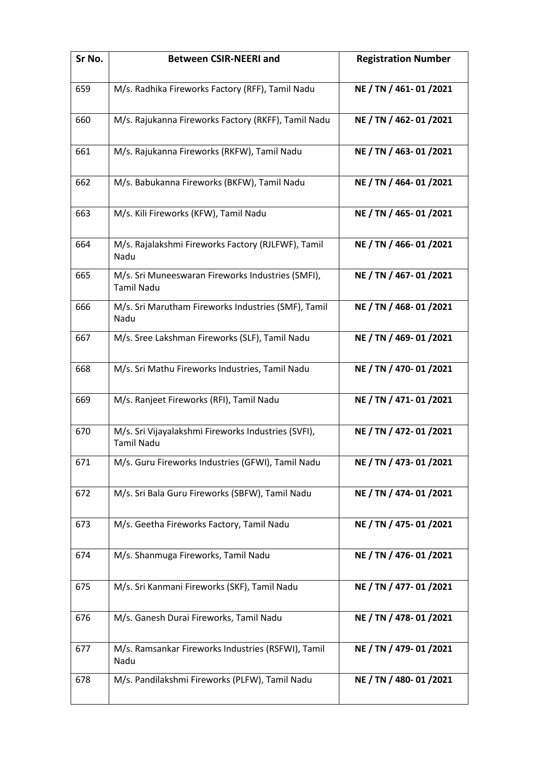| Sr No. | <b>Between CSIR-NEERI and</b>                                            | <b>Registration Number</b> |
|--------|--------------------------------------------------------------------------|----------------------------|
| 659    | M/s. Radhika Fireworks Factory (RFF), Tamil Nadu                         | NE / TN / 461-01 /2021     |
| 660    | M/s. Rajukanna Fireworks Factory (RKFF), Tamil Nadu                      | NE / TN / 462-01 /2021     |
| 661    | M/s. Rajukanna Fireworks (RKFW), Tamil Nadu                              | NE / TN / 463-01 /2021     |
| 662    | M/s. Babukanna Fireworks (BKFW), Tamil Nadu                              | NE / TN / 464-01 /2021     |
| 663    | M/s. Kili Fireworks (KFW), Tamil Nadu                                    | NE / TN / 465-01 /2021     |
| 664    | M/s. Rajalakshmi Fireworks Factory (RJLFWF), Tamil<br>Nadu               | NE / TN / 466-01 /2021     |
| 665    | M/s. Sri Muneeswaran Fireworks Industries (SMFI),<br><b>Tamil Nadu</b>   | NE / TN / 467-01 /2021     |
| 666    | M/s. Sri Marutham Fireworks Industries (SMF), Tamil<br>Nadu              | NE / TN / 468-01 /2021     |
| 667    | M/s. Sree Lakshman Fireworks (SLF), Tamil Nadu                           | NE / TN / 469-01 /2021     |
| 668    | M/s. Sri Mathu Fireworks Industries, Tamil Nadu                          | NE / TN / 470-01 /2021     |
| 669    | M/s. Ranjeet Fireworks (RFI), Tamil Nadu                                 | NE / TN / 471-01 /2021     |
| 670    | M/s. Sri Vijayalakshmi Fireworks Industries (SVFI),<br><b>Tamil Nadu</b> | NE / TN / 472-01 /2021     |
| 671    | M/s. Guru Fireworks Industries (GFWI), Tamil Nadu                        | NE / TN / 473-01 /2021     |
| 672    | M/s. Sri Bala Guru Fireworks (SBFW), Tamil Nadu                          | NE / TN / 474-01/2021      |
| 673    | M/s. Geetha Fireworks Factory, Tamil Nadu                                | NE / TN / 475-01 /2021     |
| 674    | M/s. Shanmuga Fireworks, Tamil Nadu                                      | NE / TN / 476-01/2021      |
| 675    | M/s. Sri Kanmani Fireworks (SKF), Tamil Nadu                             | NE / TN / 477-01/2021      |
| 676    | M/s. Ganesh Durai Fireworks, Tamil Nadu                                  | NE / TN / 478-01/2021      |
| 677    | M/s. Ramsankar Fireworks Industries (RSFWI), Tamil<br>Nadu               | NE / TN / 479-01 /2021     |
| 678    | M/s. Pandilakshmi Fireworks (PLFW), Tamil Nadu                           | NE / TN / 480-01 /2021     |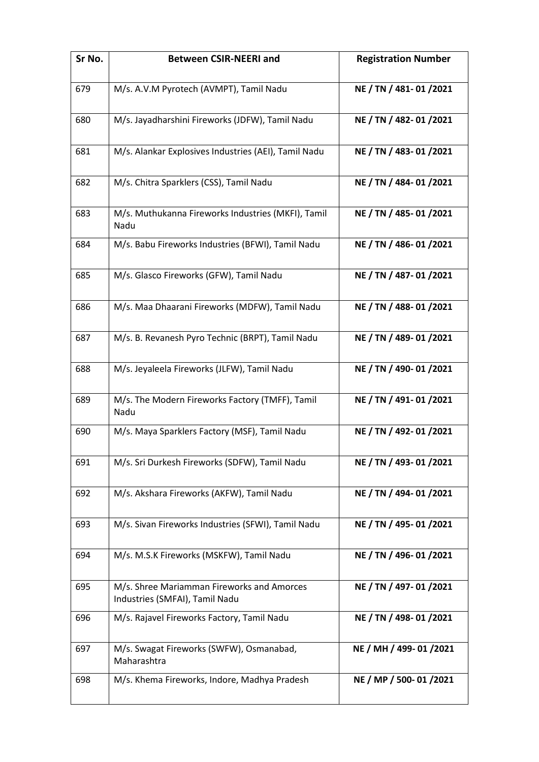| Sr No. | <b>Between CSIR-NEERI and</b>                                                | <b>Registration Number</b> |
|--------|------------------------------------------------------------------------------|----------------------------|
| 679    | M/s. A.V.M Pyrotech (AVMPT), Tamil Nadu                                      | NE / TN / 481-01 /2021     |
| 680    | M/s. Jayadharshini Fireworks (JDFW), Tamil Nadu                              | NE / TN / 482-01 /2021     |
| 681    | M/s. Alankar Explosives Industries (AEI), Tamil Nadu                         | NE / TN / 483-01 /2021     |
| 682    | M/s. Chitra Sparklers (CSS), Tamil Nadu                                      | NE / TN / 484-01 /2021     |
| 683    | M/s. Muthukanna Fireworks Industries (MKFI), Tamil<br>Nadu                   | NE / TN / 485-01 /2021     |
| 684    | M/s. Babu Fireworks Industries (BFWI), Tamil Nadu                            | NE / TN / 486-01 /2021     |
| 685    | M/s. Glasco Fireworks (GFW), Tamil Nadu                                      | NE / TN / 487-01 /2021     |
| 686    | M/s. Maa Dhaarani Fireworks (MDFW), Tamil Nadu                               | NE / TN / 488-01 /2021     |
| 687    | M/s. B. Revanesh Pyro Technic (BRPT), Tamil Nadu                             | NE / TN / 489-01/2021      |
| 688    | M/s. Jeyaleela Fireworks (JLFW), Tamil Nadu                                  | NE / TN / 490-01/2021      |
| 689    | M/s. The Modern Fireworks Factory (TMFF), Tamil<br>Nadu                      | NE / TN / 491-01 /2021     |
| 690    | M/s. Maya Sparklers Factory (MSF), Tamil Nadu                                | NE / TN / 492-01 /2021     |
| 691    | M/s. Sri Durkesh Fireworks (SDFW), Tamil Nadu                                | NE / TN / 493-01 /2021     |
| 692    | M/s. Akshara Fireworks (AKFW), Tamil Nadu                                    | NE / TN / 494-01/2021      |
| 693    | M/s. Sivan Fireworks Industries (SFWI), Tamil Nadu                           | NE / TN / 495-01 /2021     |
| 694    | M/s. M.S.K Fireworks (MSKFW), Tamil Nadu                                     | NE / TN / 496-01 /2021     |
| 695    | M/s. Shree Mariamman Fireworks and Amorces<br>Industries (SMFAI), Tamil Nadu | NE / TN / 497-01 /2021     |
| 696    | M/s. Rajavel Fireworks Factory, Tamil Nadu                                   | NE / TN / 498-01 /2021     |
| 697    | M/s. Swagat Fireworks (SWFW), Osmanabad,<br>Maharashtra                      | NE / MH / 499-01/2021      |
| 698    | M/s. Khema Fireworks, Indore, Madhya Pradesh                                 | NE / MP / 500-01/2021      |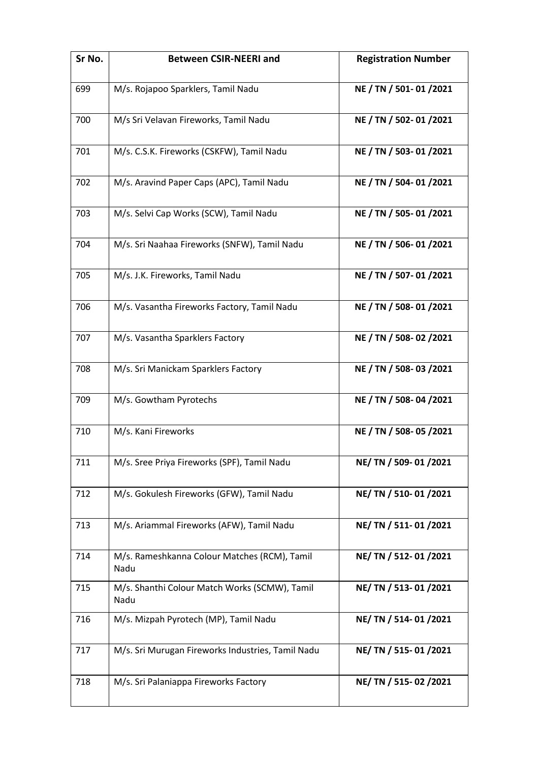| Sr No. | <b>Between CSIR-NEERI and</b>                         | <b>Registration Number</b> |
|--------|-------------------------------------------------------|----------------------------|
| 699    | M/s. Rojapoo Sparklers, Tamil Nadu                    | NE / TN / 501-01 /2021     |
| 700    | M/s Sri Velavan Fireworks, Tamil Nadu                 | NE / TN / 502-01/2021      |
| 701    | M/s. C.S.K. Fireworks (CSKFW), Tamil Nadu             | NE / TN / 503-01/2021      |
| 702    | M/s. Aravind Paper Caps (APC), Tamil Nadu             | NE / TN / 504-01 /2021     |
| 703    | M/s. Selvi Cap Works (SCW), Tamil Nadu                | NE / TN / 505-01 /2021     |
| 704    | M/s. Sri Naahaa Fireworks (SNFW), Tamil Nadu          | NE / TN / 506-01/2021      |
| 705    | M/s. J.K. Fireworks, Tamil Nadu                       | NE / TN / 507-01/2021      |
| 706    | M/s. Vasantha Fireworks Factory, Tamil Nadu           | NE / TN / 508-01/2021      |
| 707    | M/s. Vasantha Sparklers Factory                       | NE / TN / 508-02 /2021     |
| 708    | M/s. Sri Manickam Sparklers Factory                   | NE / TN / 508-03 /2021     |
| 709    | M/s. Gowtham Pyrotechs                                | NE / TN / 508-04 /2021     |
| 710    | M/s. Kani Fireworks                                   | NE / TN / 508-05 /2021     |
| 711    | M/s. Sree Priya Fireworks (SPF), Tamil Nadu           | NE/ TN / 509-01/2021       |
| 712    | M/s. Gokulesh Fireworks (GFW), Tamil Nadu             | NE/ TN / 510-01/2021       |
| 713    | M/s. Ariammal Fireworks (AFW), Tamil Nadu             | NE/ TN / 511-01/2021       |
| 714    | M/s. Rameshkanna Colour Matches (RCM), Tamil<br>Nadu  | NE/ TN / 512-01/2021       |
| 715    | M/s. Shanthi Colour Match Works (SCMW), Tamil<br>Nadu | NE/ TN / 513-01/2021       |
| 716    | M/s. Mizpah Pyrotech (MP), Tamil Nadu                 | NE/ TN / 514-01/2021       |
| 717    | M/s. Sri Murugan Fireworks Industries, Tamil Nadu     | NE/ TN / 515-01 /2021      |
| 718    | M/s. Sri Palaniappa Fireworks Factory                 | NE/ TN / 515-02 /2021      |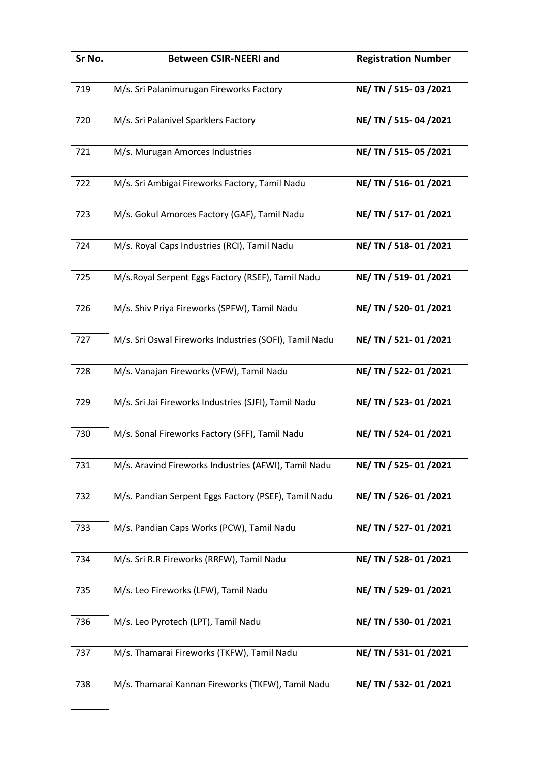| Sr No. | <b>Between CSIR-NEERI and</b>                          | <b>Registration Number</b> |
|--------|--------------------------------------------------------|----------------------------|
| 719    | M/s. Sri Palanimurugan Fireworks Factory               | NE/ TN / 515-03 /2021      |
| 720    | M/s. Sri Palanivel Sparklers Factory                   | NE/ TN / 515-04 /2021      |
| 721    | M/s. Murugan Amorces Industries                        | NE/ TN / 515-05 /2021      |
| 722    | M/s. Sri Ambigai Fireworks Factory, Tamil Nadu         | NE/ TN / 516-01/2021       |
| 723    | M/s. Gokul Amorces Factory (GAF), Tamil Nadu           | NE/ TN / 517-01/2021       |
| 724    | M/s. Royal Caps Industries (RCI), Tamil Nadu           | NE/ TN / 518-01/2021       |
| 725    | M/s.Royal Serpent Eggs Factory (RSEF), Tamil Nadu      | NE/ TN / 519-01/2021       |
| 726    | M/s. Shiv Priya Fireworks (SPFW), Tamil Nadu           | NE/ TN / 520-01/2021       |
| 727    | M/s. Sri Oswal Fireworks Industries (SOFI), Tamil Nadu | NE/ TN / 521-01/2021       |
| 728    | M/s. Vanajan Fireworks (VFW), Tamil Nadu               | NE/ TN / 522-01/2021       |
| 729    | M/s. Sri Jai Fireworks Industries (SJFI), Tamil Nadu   | NE/ TN / 523-01/2021       |
| 730    | M/s. Sonal Fireworks Factory (SFF), Tamil Nadu         | NE/ TN / 524-01/2021       |
| 731    | M/s. Aravind Fireworks Industries (AFWI), Tamil Nadu   | NE/ TN / 525-01/2021       |
| 732    | M/s. Pandian Serpent Eggs Factory (PSEF), Tamil Nadu   | NE/ TN / 526-01/2021       |
| 733    | M/s. Pandian Caps Works (PCW), Tamil Nadu              | NE/ TN / 527-01/2021       |
| 734    | M/s. Sri R.R Fireworks (RRFW), Tamil Nadu              | NE/ TN / 528-01/2021       |
| 735    | M/s. Leo Fireworks (LFW), Tamil Nadu                   | NE/ TN / 529-01/2021       |
| 736    | M/s. Leo Pyrotech (LPT), Tamil Nadu                    | NE/ TN / 530-01/2021       |
| 737    | M/s. Thamarai Fireworks (TKFW), Tamil Nadu             | NE/ TN / 531-01/2021       |
| 738    | M/s. Thamarai Kannan Fireworks (TKFW), Tamil Nadu      | NE/ TN / 532-01/2021       |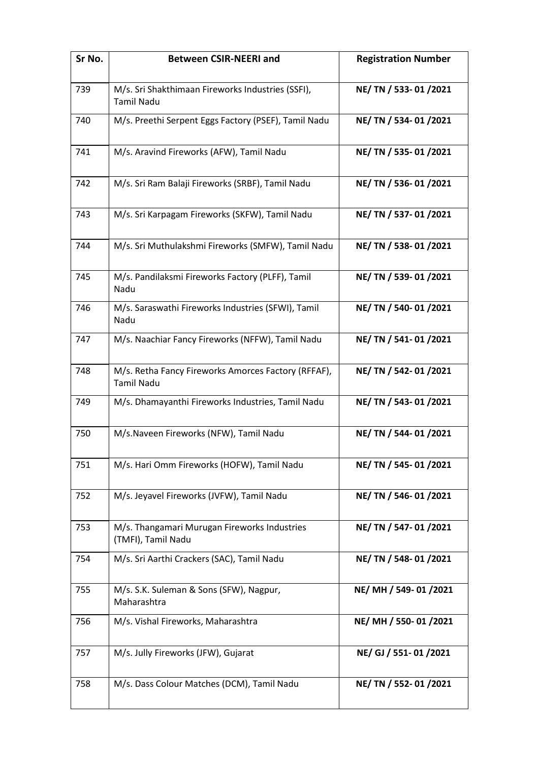| Sr No. | <b>Between CSIR-NEERI and</b>                                            | <b>Registration Number</b> |
|--------|--------------------------------------------------------------------------|----------------------------|
| 739    | M/s. Sri Shakthimaan Fireworks Industries (SSFI),<br><b>Tamil Nadu</b>   | NE/ TN / 533-01/2021       |
| 740    | M/s. Preethi Serpent Eggs Factory (PSEF), Tamil Nadu                     | NE/ TN / 534-01/2021       |
| 741    | M/s. Aravind Fireworks (AFW), Tamil Nadu                                 | NE/ TN / 535-01/2021       |
| 742    | M/s. Sri Ram Balaji Fireworks (SRBF), Tamil Nadu                         | NE/ TN / 536-01/2021       |
| 743    | M/s. Sri Karpagam Fireworks (SKFW), Tamil Nadu                           | NE/ TN / 537-01/2021       |
| 744    | M/s. Sri Muthulakshmi Fireworks (SMFW), Tamil Nadu                       | NE/ TN / 538-01/2021       |
| 745    | M/s. Pandilaksmi Fireworks Factory (PLFF), Tamil<br>Nadu                 | NE/ TN / 539-01/2021       |
| 746    | M/s. Saraswathi Fireworks Industries (SFWI), Tamil<br>Nadu               | NE/ TN / 540-01/2021       |
| 747    | M/s. Naachiar Fancy Fireworks (NFFW), Tamil Nadu                         | NE/ TN / 541-01/2021       |
| 748    | M/s. Retha Fancy Fireworks Amorces Factory (RFFAF),<br><b>Tamil Nadu</b> | NE/ TN / 542-01/2021       |
| 749    | M/s. Dhamayanthi Fireworks Industries, Tamil Nadu                        | NE/ TN / 543-01/2021       |
| 750    | M/s.Naveen Fireworks (NFW), Tamil Nadu                                   | NE/ TN / 544-01/2021       |
| 751    | M/s. Hari Omm Fireworks (HOFW), Tamil Nadu                               | NE/ TN / 545-01/2021       |
| 752    | M/s. Jeyavel Fireworks (JVFW), Tamil Nadu                                | NE/ TN / 546-01/2021       |
| 753    | M/s. Thangamari Murugan Fireworks Industries<br>(TMFI), Tamil Nadu       | NE/ TN / 547-01/2021       |
| 754    | M/s. Sri Aarthi Crackers (SAC), Tamil Nadu                               | NE/ TN / 548-01/2021       |
| 755    | M/s. S.K. Suleman & Sons (SFW), Nagpur,<br>Maharashtra                   | NE/ MH / 549-01/2021       |
| 756    | M/s. Vishal Fireworks, Maharashtra                                       | NE/ MH / 550-01/2021       |
| 757    | M/s. Jully Fireworks (JFW), Gujarat                                      | NE/ GJ / 551-01/2021       |
| 758    | M/s. Dass Colour Matches (DCM), Tamil Nadu                               | NE/ TN / 552-01/2021       |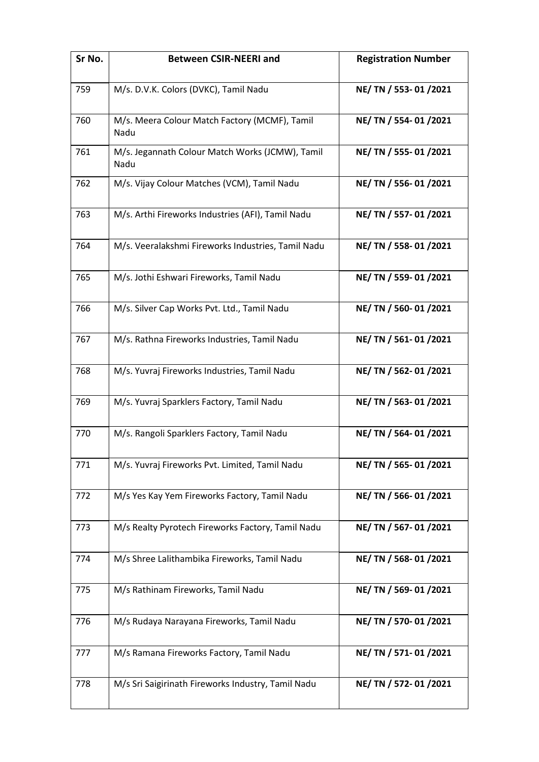| Sr No. | <b>Between CSIR-NEERI and</b>                           | <b>Registration Number</b> |
|--------|---------------------------------------------------------|----------------------------|
| 759    | M/s. D.V.K. Colors (DVKC), Tamil Nadu                   | NE/ TN / 553-01/2021       |
| 760    | M/s. Meera Colour Match Factory (MCMF), Tamil<br>Nadu   | NE/ TN / 554-01/2021       |
| 761    | M/s. Jegannath Colour Match Works (JCMW), Tamil<br>Nadu | NE/ TN / 555-01/2021       |
| 762    | M/s. Vijay Colour Matches (VCM), Tamil Nadu             | NE/ TN / 556-01/2021       |
| 763    | M/s. Arthi Fireworks Industries (AFI), Tamil Nadu       | NE/ TN / 557-01/2021       |
| 764    | M/s. Veeralakshmi Fireworks Industries, Tamil Nadu      | NE/ TN / 558-01/2021       |
| 765    | M/s. Jothi Eshwari Fireworks, Tamil Nadu                | NE/ TN / 559-01/2021       |
| 766    | M/s. Silver Cap Works Pvt. Ltd., Tamil Nadu             | NE/ TN / 560-01/2021       |
| 767    | M/s. Rathna Fireworks Industries, Tamil Nadu            | NE/ TN / 561-01/2021       |
| 768    | M/s. Yuvraj Fireworks Industries, Tamil Nadu            | NE/ TN / 562-01/2021       |
| 769    | M/s. Yuvraj Sparklers Factory, Tamil Nadu               | NE/ TN / 563-01/2021       |
| 770    | M/s. Rangoli Sparklers Factory, Tamil Nadu              | NE/ TN / 564-01/2021       |
| 771    | M/s. Yuvraj Fireworks Pvt. Limited, Tamil Nadu          | NE/ TN / 565-01/2021       |
| 772    | M/s Yes Kay Yem Fireworks Factory, Tamil Nadu           | NE/ TN / 566-01/2021       |
| 773    | M/s Realty Pyrotech Fireworks Factory, Tamil Nadu       | NE/ TN / 567-01/2021       |
| 774    | M/s Shree Lalithambika Fireworks, Tamil Nadu            | NE/ TN / 568-01/2021       |
| 775    | M/s Rathinam Fireworks, Tamil Nadu                      | NE/ TN / 569-01/2021       |
| 776    | M/s Rudaya Narayana Fireworks, Tamil Nadu               | NE/ TN / 570-01/2021       |
| 777    | M/s Ramana Fireworks Factory, Tamil Nadu                | NE/ TN / 571-01/2021       |
| 778    | M/s Sri Saigirinath Fireworks Industry, Tamil Nadu      | NE/ TN / 572-01/2021       |